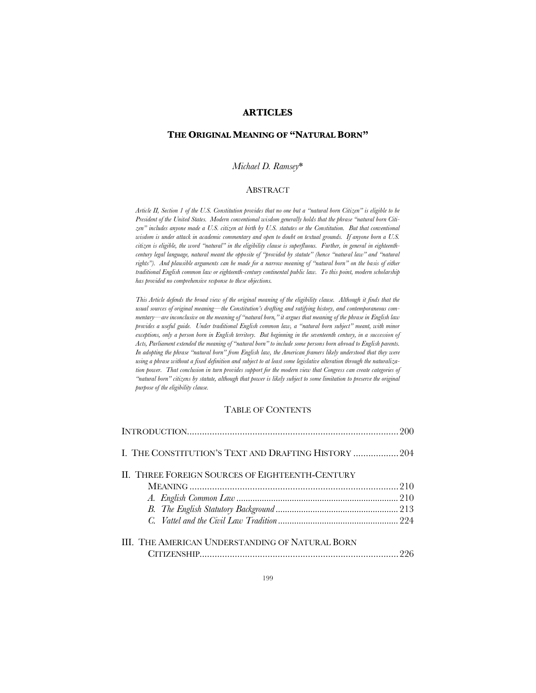# **ARTICLES**

# **THE ORIGINAL MEANING OF "NATURAL BORN"**

### *Michael D. Ramsey*\*

## **ABSTRACT**

*Article II, Section 1 of the U.S. Constitution provides that no one but a "natural born Citizen" is eligible to be President of the United States. Modern conventional wisdom generally holds that the phrase "natural born Citizen" includes anyone made a U.S. citizen at birth by U.S. statutes or the Constitution. But that conventional wisdom is under attack in academic commentary and open to doubt on textual grounds. If anyone born a U.S. citizen is eligible, the word "natural" in the eligibility clause is superfluous. Further, in general in eighteenthcentury legal language, natural meant the opposite of "provided by statute" (hence "natural law" and "natural rights"). And plausible arguments can be made for a narrow meaning of "natural born" on the basis of either traditional English common law or eighteenth-century continental public law. To this point, modern scholarship has provided no comprehensive response to these objections.*

*This Article defends the broad view of the original meaning of the eligibility clause. Although it finds that the usual sources of original meaning—the Constitution's drafting and ratifying history, and contemporaneous commentary—are inconclusive on the meaning of "natural born," it argues that meaning of the phrase in English law provides a useful guide. Under traditional English common law, a "natural born subject" meant, with minor exceptions, only a person born in English territory. But beginning in the seventeenth century, in a succession of Acts, Parliament extended the meaning of "natural born" to include some persons born abroad to English parents. In adopting the phrase "natural born" from English law, the American framers likely understood that they were using a phrase without a fixed definition and subject to at least some legislative alteration through the naturalization power. That conclusion in turn provides support for the modern view that Congress can create categories of "natural born" citizens by statute, although that power is likely subject to some limitation to preserve the original purpose of the eligibility clause.*

# TABLE OF CONTENTS

| I. THE CONSTITUTION'S TEXT AND DRAFTING HISTORY  204 |  |
|------------------------------------------------------|--|
| II. THREE FOREIGN SOURCES OF EIGHTEENTH-CENTURY      |  |
|                                                      |  |
|                                                      |  |
|                                                      |  |
|                                                      |  |
|                                                      |  |
| III. THE AMERICAN UNDERSTANDING OF NATURAL BORN      |  |
|                                                      |  |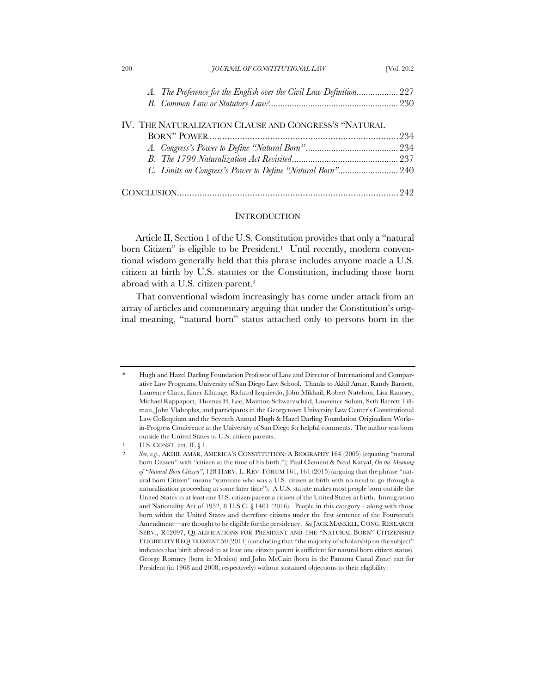| 200 | JOURNAL OF CONSTITUTIONAL LAW                         | [Vol. 20.2] |
|-----|-------------------------------------------------------|-------------|
|     |                                                       |             |
|     |                                                       |             |
|     | IV. THE NATURALIZATION CLAUSE AND CONGRESS'S "NATURAL |             |
|     |                                                       |             |
|     |                                                       |             |
|     |                                                       |             |
|     |                                                       |             |
|     |                                                       |             |

#### **INTRODUCTION**

Article II, Section 1 of the U.S. Constitution provides that only a "natural born Citizen" is eligible to be President.<sup>1</sup> Until recently, modern conventional wisdom generally held that this phrase includes anyone made a U.S. citizen at birth by U.S. statutes or the Constitution, including those born abroad with a U.S. citizen parent.2

That conventional wisdom increasingly has come under attack from an array of articles and commentary arguing that under the Constitution's original meaning, "natural born" status attached only to persons born in the

<sup>\*</sup> Hugh and Hazel Darling Foundation Professor of Law and Director of International and Comparative Law Programs, University of San Diego Law School. Thanks to Akhil Amar, Randy Barnett, Laurence Claus, Einer Elhauge, Richard Izquierdo, John Mikhail, Robert Natelson, Lisa Ramsey, Michael Rappaport, Thomas H. Lee, Maimon Schwarzschild, Lawrence Solum, Seth Barrett Tillman, John Vlahoplus, and participants in the Georgetown University Law Center's Constitutional Law Colloquium and the Seventh Annual Hugh & Hazel Darling Foundation Originalism Worksin-Progress Conference at the University of San Diego for helpful comments. The author was born outside the United States to U.S. citizen parents.

<sup>1</sup> U.S. CONST. art. II, § 1.

<sup>2</sup> *See, e.g.*, AKHIL AMAR, AMERICA'S CONSTITUTION: A BIOGRAPHY 164 (2005) (equating "natural born Citizen" with "citizen at the time of his birth."); Paul Clement & Neal Katyal, *On the Meaning of "Natural Born Citizen"*, 128 HARV. L. REV. FORUM 161, 161 (2015) (arguing that the phrase "natural born Citizen" means "someone who was a U.S. citizen at birth with no need to go through a naturalization proceeding at some later time"). A U.S. statute makes most people born outside the United States to at least one U.S. citizen parent a citizen of the United States at birth. Immigration and Nationality Act of 1952, 8 U.S.C. § 1401 (2016). People in this category—along with those born within the United States and therefore citizens under the first sentence of the Fourteenth Amendment—are thought to be eligible for the presidency. See JACK MASKELL, CONG. RESEARCH SERV., R42097, QUALIFICATIONS FOR PRESIDENT AND THE "NATURAL BORN" CITIZENSHIP ELIGIBILITY REQUIREMENT 50 (2011) (concluding that "the majority of scholarship on the subject" indicates that birth abroad to at least one citizen parent is sufficient for natural born citizen status). George Romney (born in Mexico) and John McCain (born in the Panama Canal Zone) ran for President (in 1968 and 2008, respectively) without sustained objections to their eligibility.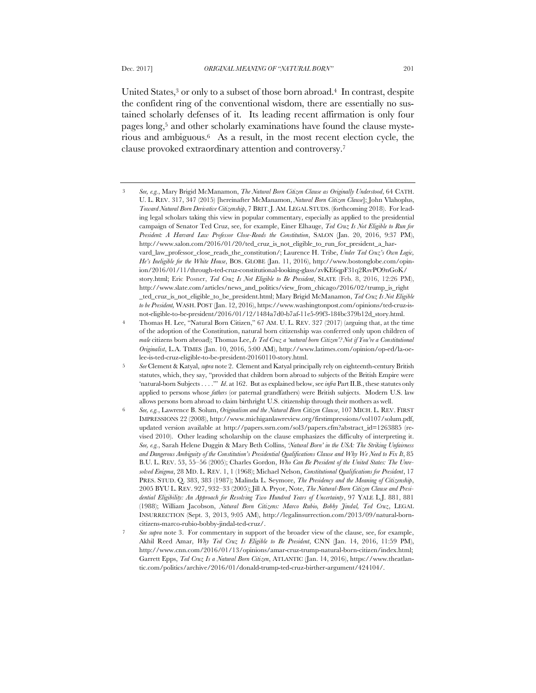United States, $3$  or only to a subset of those born abroad. $4$  In contrast, despite the confident ring of the conventional wisdom, there are essentially no sustained scholarly defenses of it. Its leading recent affirmation is only four pages long,5 and other scholarly examinations have found the clause mysterious and ambiguous.6 As a result, in the most recent election cycle, the clause provoked extraordinary attention and controversy.7

<sup>3</sup> *See, e.g.*, Mary Brigid McManamon, *The Natural Born Citizen Clause as Originally Understood*, 64 CATH. U. L. REV. 317, 347 (2015) [hereinafter McManamon, *Natural Born Citizen Clause*]; John Vlahoplus, *Toward Natural Born Derivative Citizenship*, 7 BRIT.J. AM. LEGAL STUDS. (forthcoming 2018). For leading legal scholars taking this view in popular commentary, especially as applied to the presidential campaign of Senator Ted Cruz, see, for example, Einer Elhauge, *Ted Cruz Is Not Eligible to Run for President: A Harvard Law Professor Close-Reads the Constitution*, SALON (Jan. 20, 2016, 9:37 PM), http://www.salon.com/2016/01/20/ted\_cruz\_is\_not\_eligible\_to\_run\_for\_president\_a\_harvard\_law\_professor\_close\_reads\_the\_constitution/; Laurence H. Tribe, *Under Ted Cruz's Own Logic, He's Ineligible for the White House*, BOS. GLOBE (Jan. 11, 2016), http://www.bostonglobe.com/opinion/2016/01/11/through-ted-cruz-constitutional-looking-glass/zvKE6qpF31q2RsvPO9nGoK/ story.html; Eric Posner, *Ted Cruz Is Not Eligible to Be President*, SLATE (Feb. 8, 2016, 12:26 PM), http://www.slate.com/articles/news\_and\_politics/view\_from\_chicago/2016/02/trump\_is\_right \_ted\_cruz\_is\_not\_eligible\_to\_be\_president.html; Mary Brigid McManamon, *Ted Cruz Is Not Eligible to be President,* WASH. POST (Jan. 12, 2016), https://www.washingtonpost.com/opinions/ted-cruz-isnot-eligible-to-be-president/2016/01/12/1484a7d0-b7af-11e5-99f3-184bc379b12d\_story.html.

<sup>4</sup> Thomas H. Lee, "Natural Born Citizen," 67 AM. U. L. REV. 327 (2017) (arguing that, at the time of the adoption of the Constitution, natural born citizenship was conferred only upon children of *male* citizens born abroad); Thomas Lee, *Is Ted Cruz a 'natural born Citizen'? Not if You're a Constitutional Originalist*, L.A. TIMES (Jan. 10, 2016, 5:00 AM), http://www.latimes.com/opinion/op-ed/la-oelee-is-ted-cruz-eligible-to-be-president-20160110-story.html.

<sup>5</sup> *See* Clement & Katyal, *supra* note 2. Clement and Katyal principally rely on eighteenth-century British statutes, which, they say, "provided that children born abroad to subjects of the British Empire were 'natural-born Subjects . . . .'" *Id*. at 162. But as explained below, see *infra* Part II.B., these statutes only applied to persons whose *fathers* (or paternal grandfathers) were British subjects. Modern U.S. law allows persons born abroad to claim birthright U.S. citizenship through their mothers as well.

<sup>6</sup> *See, e.g.*, Lawrence B. Solum, *Originalism and the Natural Born Citizen Clause*, 107 MICH. L. REV. FIRST IMPRESSIONS 22 (2008), http://www.michiganlawreview.org/firstimpressions/vol107/solum.pdf, updated version available at http://papers.ssrn.com/sol3/papers.cfm?abstract\_id=1263885 (revised 2010). Other leading scholarship on the clause emphasizes the difficulty of interpreting it. *See, e.g.*, Sarah Helene Duggin & Mary Beth Collins, *'Natural Born' in the USA: The Striking Unfairness and Dangerous Ambiguity of the Constitution's Presidential Qualifications Clause and Why We Need to Fix It*, 85 B.U. L. REV. 53, 55–56 (2005); Charles Gordon, *Who Can Be President of the United States: The Unresolved Enigma*, 28 MD. L. REV. 1, 1 (1968); Michael Nelson, *Constitutional Qualifications for President*, 17 PRES. STUD. Q. 383, 383 (1987); Malinda L. Seymore, *The Presidency and the Meaning of Citizenship*, 2005 BYU L. REV. 927, 932–33 (2005); Jill A. Pryor, Note, *The Natural-Born Citizen Clause and Presidential Eligibility: An Approach for Resolving Two Hundred Years of Uncertainty*, 97 YALE L.J. 881, 881 (1988); William Jacobson, *Natural Born Citizens: Marco Rubio, Bobby Jindal, Ted Cruz*, LEGAL INSURRECTION (Sept. 3, 2013, 9:05 AM), http://legalinsurrection.com/2013/09/natural-borncitizens-marco-rubio-bobby-jindal-ted-cruz/.

<sup>7</sup> *See supra* note 3. For commentary in support of the broader view of the clause, see, for example, Akhil Reed Amar, *Why Ted Cruz Is Eligible to Be President*, CNN (Jan. 14, 2016, 11:59 PM), http://www.cnn.com/2016/01/13/opinions/amar-cruz-trump-natural-born-citizen/index.html; Garrett Epps, *Ted Cruz Is a Natural Born Citizen*, ATLANTIC (Jan. 14, 2016), https://www.theatlantic.com/politics/archive/2016/01/donald-trump-ted-cruz-birther-argument/424104/.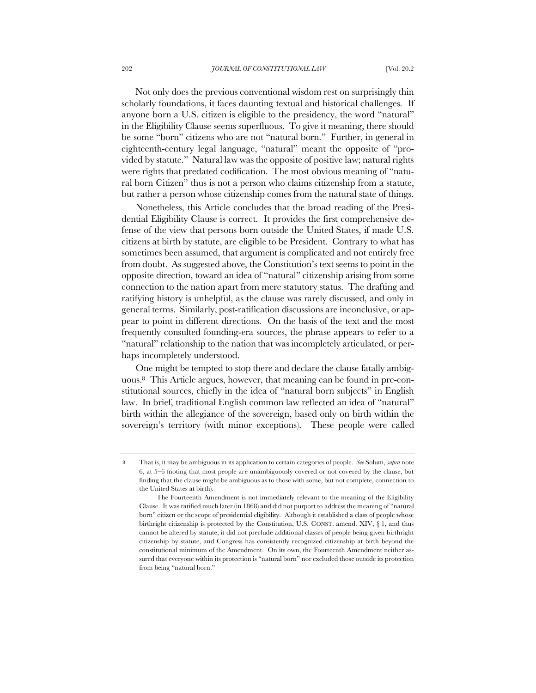Not only does the previous conventional wisdom rest on surprisingly thin scholarly foundations, it faces daunting textual and historical challenges. If anyone born a U.S. citizen is eligible to the presidency, the word "natural" in the Eligibility Clause seems superfluous. To give it meaning, there should be some "born" citizens who are not "natural born." Further, in general in eighteenth-century legal language, "natural" meant the opposite of "provided by statute." Natural law was the opposite of positive law; natural rights were rights that predated codification. The most obvious meaning of "natural born Citizen" thus is not a person who claims citizenship from a statute, but rather a person whose citizenship comes from the natural state of things.

Nonetheless, this Article concludes that the broad reading of the Presidential Eligibility Clause is correct. It provides the first comprehensive defense of the view that persons born outside the United States, if made U.S. citizens at birth by statute, are eligible to be President. Contrary to what has sometimes been assumed, that argument is complicated and not entirely free from doubt. As suggested above, the Constitution's text seems to point in the opposite direction, toward an idea of "natural" citizenship arising from some connection to the nation apart from mere statutory status. The drafting and ratifying history is unhelpful, as the clause was rarely discussed, and only in general terms. Similarly, post-ratification discussions are inconclusive, or appear to point in different directions. On the basis of the text and the most frequently consulted founding-era sources, the phrase appears to refer to a "natural" relationship to the nation that was incompletely articulated, or perhaps incompletely understood.

One might be tempted to stop there and declare the clause fatally ambiguous.8 This Article argues, however, that meaning can be found in pre-constitutional sources, chiefly in the idea of "natural born subjects" in English law. In brief, traditional English common law reflected an idea of "natural" birth within the allegiance of the sovereign, based only on birth within the sovereign's territory (with minor exceptions). These people were called

<sup>8</sup> That is, it may be ambiguous in its application to certain categories of people. *See* Solum, *supra* note 6, at 5–6 (noting that most people are unambiguously covered or not covered by the clause, but finding that the clause might be ambiguous as to those with some, but not complete, connection to the United States at birth).

The Fourteenth Amendment is not immediately relevant to the meaning of the Eligibility Clause. It was ratified much later (in 1868) and did not purport to address the meaning of "natural born" citizen or the scope of presidential eligibility. Although it established a class of people whose birthright citizenship is protected by the Constitution, U.S. CONST. amend. XIV, § 1, and thus cannot be altered by statute, it did not preclude additional classes of people being given birthright citizenship by statute, and Congress has consistently recognized citizenship at birth beyond the constitutional minimum of the Amendment. On its own, the Fourteenth Amendment neither assured that everyone within its protection is "natural born" nor excluded those outside its protection from being "natural born."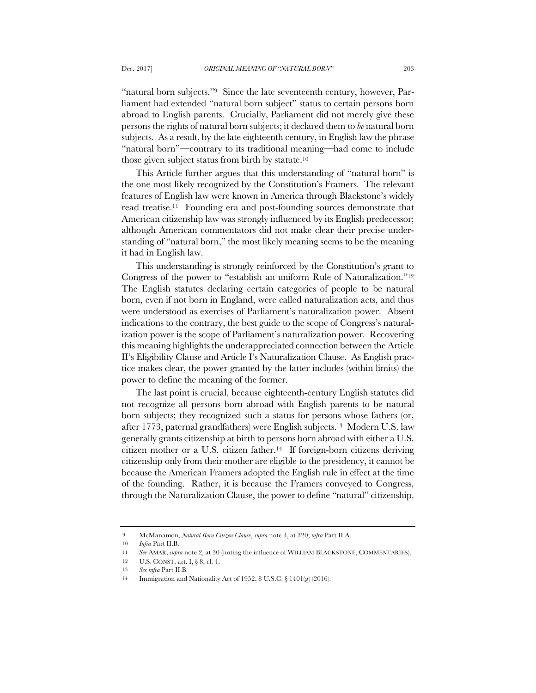"natural born subjects."<sup>9</sup> Since the late seventeenth century, however, Parliament had extended "natural born subject" status to certain persons born abroad to English parents. Crucially, Parliament did not merely give these persons the rights of natural born subjects; it declared them to *be* natural born subjects. As a result, by the late eighteenth century, in English law the phrase "natural born"—contrary to its traditional meaning—had come to include those given subject status from birth by statute.10

This Article further argues that this understanding of "natural born" is the one most likely recognized by the Constitution's Framers. The relevant features of English law were known in America through Blackstone's widely read treatise.11 Founding era and post-founding sources demonstrate that American citizenship law was strongly influenced by its English predecessor; although American commentators did not make clear their precise understanding of "natural born," the most likely meaning seems to be the meaning it had in English law.

This understanding is strongly reinforced by the Constitution's grant to Congress of the power to "establish an uniform Rule of Naturalization."12 The English statutes declaring certain categories of people to be natural born, even if not born in England, were called naturalization acts, and thus were understood as exercises of Parliament's naturalization power. Absent indications to the contrary, the best guide to the scope of Congress's naturalization power is the scope of Parliament's naturalization power. Recovering this meaning highlights the underappreciated connection between the Article II's Eligibility Clause and Article I's Naturalization Clause. As English practice makes clear, the power granted by the latter includes (within limits) the power to define the meaning of the former.

The last point is crucial, because eighteenth-century English statutes did not recognize all persons born abroad with English parents to be natural born subjects; they recognized such a status for persons whose fathers (or, after 1773, paternal grandfathers) were English subjects.13 Modern U.S. law generally grants citizenship at birth to persons born abroad with either a U.S. citizen mother or a U.S. citizen father.14 If foreign-born citizens deriving citizenship only from their mother are eligible to the presidency, it cannot be because the American Framers adopted the English rule in effect at the time of the founding. Rather, it is because the Framers conveyed to Congress, through the Naturalization Clause, the power to define "natural" citizenship.

<sup>9</sup> McManamon, *Natural Born Citizen Clause*, *supra* note 3, at 320; *infra* Part II.A.

<sup>10</sup> *Infra* Part II.B.

<sup>11</sup> *See* AMAR, *supra* note 2, at 30 (noting the influence of WILLIAM BLACKSTONE, COMMENTARIES).

<sup>12</sup> U.S. CONST. art. I, § 8, cl. 4.

<sup>13</sup> *See infra* Part II.B.

<sup>14</sup> Immigration and Nationality Act of 1952, 8 U.S.C. § 1401(g) (2016).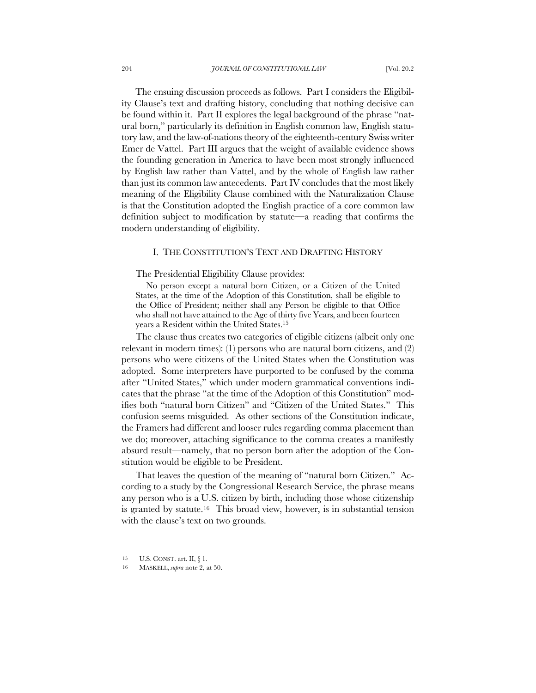The ensuing discussion proceeds as follows. Part I considers the Eligibility Clause's text and drafting history, concluding that nothing decisive can be found within it. Part II explores the legal background of the phrase "natural born," particularly its definition in English common law, English statutory law, and the law-of-nations theory of the eighteenth-century Swiss writer Emer de Vattel. Part III argues that the weight of available evidence shows the founding generation in America to have been most strongly influenced by English law rather than Vattel, and by the whole of English law rather than just its common law antecedents. Part IV concludes that the most likely meaning of the Eligibility Clause combined with the Naturalization Clause is that the Constitution adopted the English practice of a core common law definition subject to modification by statute—a reading that confirms the modern understanding of eligibility.

# I. THE CONSTITUTION'S TEXT AND DRAFTING HISTORY

The Presidential Eligibility Clause provides:

No person except a natural born Citizen, or a Citizen of the United States, at the time of the Adoption of this Constitution, shall be eligible to the Office of President; neither shall any Person be eligible to that Office who shall not have attained to the Age of thirty five Years, and been fourteen years a Resident within the United States.15

The clause thus creates two categories of eligible citizens (albeit only one relevant in modern times): (1) persons who are natural born citizens, and (2) persons who were citizens of the United States when the Constitution was adopted. Some interpreters have purported to be confused by the comma after "United States," which under modern grammatical conventions indicates that the phrase "at the time of the Adoption of this Constitution" modifies both "natural born Citizen" and "Citizen of the United States." This confusion seems misguided. As other sections of the Constitution indicate, the Framers had different and looser rules regarding comma placement than we do; moreover, attaching significance to the comma creates a manifestly absurd result—namely, that no person born after the adoption of the Constitution would be eligible to be President.

That leaves the question of the meaning of "natural born Citizen." According to a study by the Congressional Research Service, the phrase means any person who is a U.S. citizen by birth, including those whose citizenship is granted by statute.16 This broad view, however, is in substantial tension with the clause's text on two grounds.

<sup>15</sup> U.S. CONST. art. II, § 1.

<sup>16</sup> MASKELL, *supra* note 2, at 50.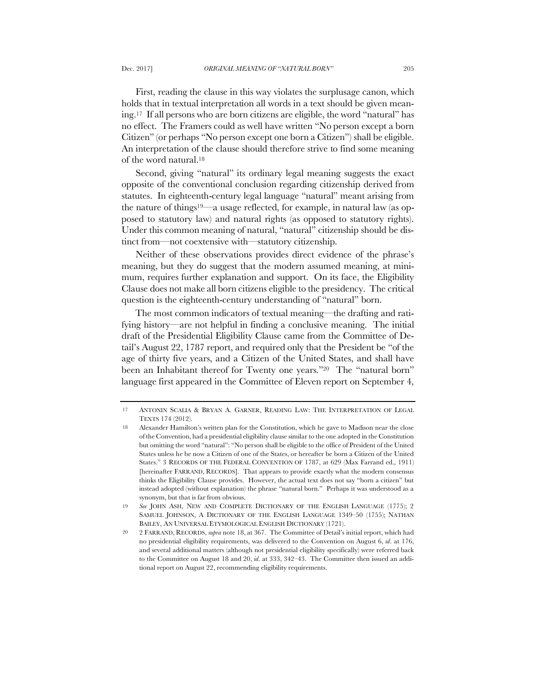First, reading the clause in this way violates the surplusage canon, which holds that in textual interpretation all words in a text should be given meaning.17 If all persons who are born citizens are eligible, the word "natural" has no effect. The Framers could as well have written "No person except a born Citizen" (or perhaps "No person except one born a Citizen") shall be eligible. An interpretation of the clause should therefore strive to find some meaning of the word natural.18

Second, giving "natural" its ordinary legal meaning suggests the exact opposite of the conventional conclusion regarding citizenship derived from statutes. In eighteenth-century legal language "natural" meant arising from the nature of things19—a usage reflected, for example, in natural law (as opposed to statutory law) and natural rights (as opposed to statutory rights). Under this common meaning of natural, "natural" citizenship should be distinct from—not coextensive with—statutory citizenship.

Neither of these observations provides direct evidence of the phrase's meaning, but they do suggest that the modern assumed meaning, at minimum, requires further explanation and support. On its face, the Eligibility Clause does not make all born citizens eligible to the presidency. The critical question is the eighteenth-century understanding of "natural" born.

The most common indicators of textual meaning—the drafting and ratifying history—are not helpful in finding a conclusive meaning. The initial draft of the Presidential Eligibility Clause came from the Committee of Detail's August 22, 1787 report, and required only that the President be "of the age of thirty five years, and a Citizen of the United States, and shall have been an Inhabitant thereof for Twenty one years."<sup>20</sup> The "natural born" language first appeared in the Committee of Eleven report on September 4,

<sup>17</sup> ANTONIN SCALIA & BRYAN A. GARNER, READING LAW: THE INTERPRETATION OF LEGAL TEXTS 174 (2012).

<sup>18</sup> Alexander Hamilton's written plan for the Constitution, which he gave to Madison near the close of the Convention, had a presidential eligibility clause similar to the one adopted in the Constitution but omitting the word "natural": "No person shall be eligible to the office of President of the United States unless he be now a Citizen of one of the States, or hereafter be born a Citizen of the United States." 3 RECORDS OF THE FEDERAL CONVENTION OF 1787, at 629 (Max Farrand ed., 1911) [hereinafter FARRAND, RECORDS]. That appears to provide exactly what the modern consensus thinks the Eligibility Clause provides. However, the actual text does not say "born a citizen" but instead adopted (without explanation) the phrase "natural born." Perhaps it was understood as a synonym, but that is far from obvious.

<sup>19</sup> *See* JOHN ASH, NEW AND COMPLETE DICTIONARY OF THE ENGLISH LANGUAGE (1775); 2 SAMUEL JOHNSON, A DICTIONARY OF THE ENGLISH LANGUAGE 1349–50 (1755); NATHAN BAILEY, AN UNIVERSAL ETYMOLOGICAL ENGLISH DICTIONARY (1721).

<sup>20</sup> 2 FARRAND, RECORDS, *supra* note 18, at 367. The Committee of Detail's initial report, which had no presidential eligibility requirements, was delivered to the Convention on August 6, *id*. at 176, and several additional matters (although not presidential eligibility specifically) were referred back to the Committee on August 18 and 20, *id*. at 333, 342–43. The Committee then issued an additional report on August 22, recommending eligibility requirements.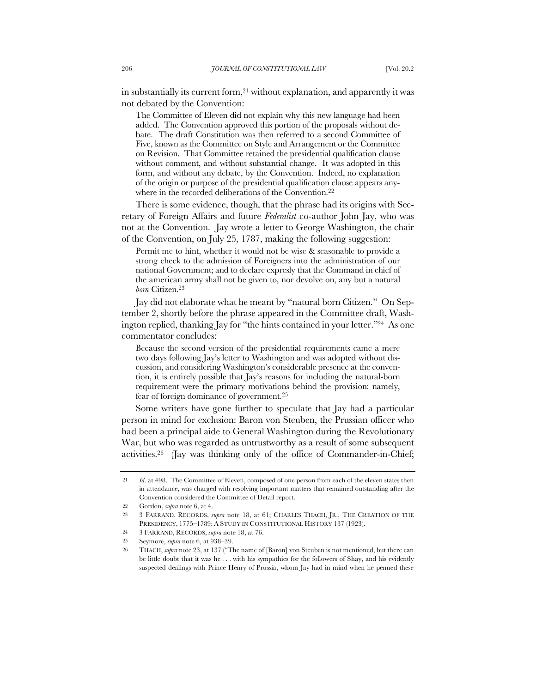in substantially its current form,<sup>21</sup> without explanation, and apparently it was not debated by the Convention:

The Committee of Eleven did not explain why this new language had been added. The Convention approved this portion of the proposals without debate. The draft Constitution was then referred to a second Committee of Five, known as the Committee on Style and Arrangement or the Committee on Revision. That Committee retained the presidential qualification clause without comment, and without substantial change. It was adopted in this form, and without any debate, by the Convention. Indeed, no explanation of the origin or purpose of the presidential qualification clause appears anywhere in the recorded deliberations of the Convention.<sup>22</sup>

There is some evidence, though, that the phrase had its origins with Secretary of Foreign Affairs and future *Federalist* co-author John Jay, who was not at the Convention. Jay wrote a letter to George Washington, the chair of the Convention, on July 25, 1787, making the following suggestion:

Permit me to hint, whether it would not be wise & seasonable to provide a strong check to the admission of Foreigners into the administration of our national Government; and to declare expresly that the Command in chief of the american army shall not be given to, nor devolve on, any but a natural *born* Citizen.23

Jay did not elaborate what he meant by "natural born Citizen." On September 2, shortly before the phrase appeared in the Committee draft, Washington replied, thanking Jay for "the hints contained in your letter."24 As one commentator concludes:

Because the second version of the presidential requirements came a mere two days following Jay's letter to Washington and was adopted without discussion, and considering Washington's considerable presence at the convention, it is entirely possible that Jay's reasons for including the natural-born requirement were the primary motivations behind the provision: namely, fear of foreign dominance of government.25

Some writers have gone further to speculate that Jay had a particular person in mind for exclusion: Baron von Steuben, the Prussian officer who had been a principal aide to General Washington during the Revolutionary War, but who was regarded as untrustworthy as a result of some subsequent activities.26 (Jay was thinking only of the office of Commander-in-Chief;

<sup>21</sup> *Id*. at 498. The Committee of Eleven, composed of one person from each of the eleven states then in attendance, was charged with resolving important matters that remained outstanding after the Convention considered the Committee of Detail report.

<sup>22</sup> Gordon, *supra* note 6, at 4.

<sup>23</sup> 3 FARRAND, RECORDS, *supra* note 18, at 61; CHARLES THACH, JR., THE CREATION OF THE PRESIDENCY, 1775–1789: A STUDY IN CONSTITUTIONAL HISTORY 137 (1923).

<sup>24</sup> 3 FARRAND, RECORDS, *supra* note 18, at 76.

<sup>25</sup> Seymore, *supra* note 6, at 938–39.

<sup>26</sup> THACH, *supra* note 23, at 137 ("The name of [Baron] von Steuben is not mentioned, but there can be little doubt that it was he . . . with his sympathies for the followers of Shay, and his evidently suspected dealings with Prince Henry of Prussia, whom Jay had in mind when he penned these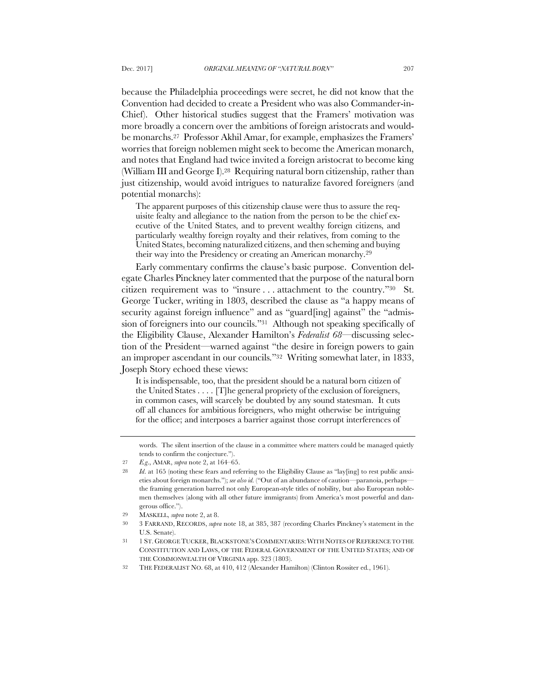because the Philadelphia proceedings were secret, he did not know that the Convention had decided to create a President who was also Commander-in-Chief). Other historical studies suggest that the Framers' motivation was more broadly a concern over the ambitions of foreign aristocrats and wouldbe monarchs.27 Professor Akhil Amar, for example, emphasizes the Framers' worries that foreign noblemen might seek to become the American monarch, and notes that England had twice invited a foreign aristocrat to become king (William III and George I).28 Requiring natural born citizenship, rather than just citizenship, would avoid intrigues to naturalize favored foreigners (and potential monarchs):

The apparent purposes of this citizenship clause were thus to assure the requisite fealty and allegiance to the nation from the person to be the chief executive of the United States, and to prevent wealthy foreign citizens, and particularly wealthy foreign royalty and their relatives, from coming to the United States, becoming naturalized citizens, and then scheming and buying their way into the Presidency or creating an American monarchy.29

Early commentary confirms the clause's basic purpose. Convention delegate Charles Pinckney later commented that the purpose of the natural born citizen requirement was to "insure . . . attachment to the country."30 St. George Tucker, writing in 1803, described the clause as "a happy means of security against foreign influence" and as "guard[ing] against" the "admission of foreigners into our councils."31 Although not speaking specifically of the Eligibility Clause, Alexander Hamilton's *Federalist 68*—discussing selection of the President—warned against "the desire in foreign powers to gain an improper ascendant in our councils."32 Writing somewhat later, in 1833, Joseph Story echoed these views:

It is indispensable, too, that the president should be a natural born citizen of the United States . . . . [T]he general propriety of the exclusion of foreigners, in common cases, will scarcely be doubted by any sound statesman. It cuts off all chances for ambitious foreigners, who might otherwise be intriguing for the office; and interposes a barrier against those corrupt interferences of

words. The silent insertion of the clause in a committee where matters could be managed quietly tends to confirm the conjecture.").

<sup>27</sup> *E.g*., AMAR, *supra* note 2, at 164–65.

<sup>28</sup> *Id*. at 165 (noting these fears and referring to the Eligibility Clause as "lay[ing] to rest public anxieties about foreign monarchs."); *see also id.* ("Out of an abundance of caution—paranoia, perhaps the framing generation barred not only European-style titles of nobility, but also European noblemen themselves (along with all other future immigrants) from America's most powerful and dangerous office.").

<sup>29</sup> MASKELL, *supra* note 2, at 8.

<sup>30</sup> 3 FARRAND, RECORDS, *supra* note 18, at 385, 387 (recording Charles Pinckney's statement in the U.S. Senate).

<sup>31</sup> 1 ST.GEORGE TUCKER, BLACKSTONE'S COMMENTARIES:WITH NOTES OF REFERENCE TO THE CONSTITUTION AND LAWS, OF THE FEDERAL GOVERNMENT OF THE UNITED STATES; AND OF THE COMMONWEALTH OF VIRGINIA app. 323 (1803).

<sup>32</sup> THE FEDERALIST NO. 68, at 410, 412 (Alexander Hamilton) (Clinton Rossiter ed., 1961).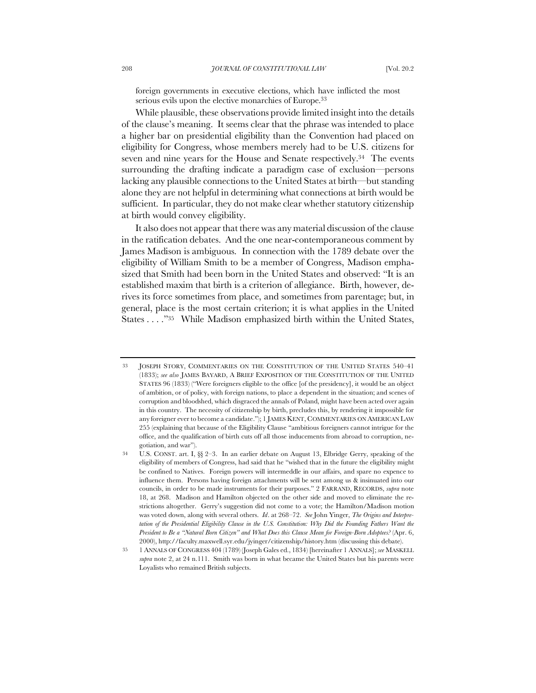foreign governments in executive elections, which have inflicted the most serious evils upon the elective monarchies of Europe.33

While plausible, these observations provide limited insight into the details of the clause's meaning. It seems clear that the phrase was intended to place a higher bar on presidential eligibility than the Convention had placed on eligibility for Congress, whose members merely had to be U.S. citizens for seven and nine years for the House and Senate respectively.<sup>34</sup> The events surrounding the drafting indicate a paradigm case of exclusion—persons lacking any plausible connections to the United States at birth—but standing alone they are not helpful in determining what connections at birth would be sufficient. In particular, they do not make clear whether statutory citizenship at birth would convey eligibility.

It also does not appear that there was any material discussion of the clause in the ratification debates. And the one near-contemporaneous comment by James Madison is ambiguous. In connection with the 1789 debate over the eligibility of William Smith to be a member of Congress, Madison emphasized that Smith had been born in the United States and observed: "It is an established maxim that birth is a criterion of allegiance. Birth, however, derives its force sometimes from place, and sometimes from parentage; but, in general, place is the most certain criterion; it is what applies in the United States . . . ."35 While Madison emphasized birth within the United States,

<sup>33</sup> JOSEPH STORY, COMMENTARIES ON THE CONSTITUTION OF THE UNITED STATES 540–41 (1833); *see also* JAMES BAYARD, A BRIEF EXPOSITION OF THE CONSTITUTION OF THE UNITED STATES 96 (1833) ("Were foreigners eligible to the office [of the presidency], it would be an object of ambition, or of policy, with foreign nations, to place a dependent in the situation; and scenes of corruption and bloodshed, which disgraced the annals of Poland, might have been acted over again in this country. The necessity of citizenship by birth, precludes this, by rendering it impossible for any foreigner ever to become a candidate."); 1 JAMES KENT, COMMENTARIES ON AMERICAN LAW 255 (explaining that because of the Eligibility Clause "ambitious foreigners cannot intrigue for the office, and the qualification of birth cuts off all those inducements from abroad to corruption, negotiation, and war").

<sup>34</sup> U.S. CONST. art. I, §§ 2–3. In an earlier debate on August 13, Elbridge Gerry, speaking of the eligibility of members of Congress, had said that he "wished that in the future the eligibility might be confined to Natives. Foreign powers will intermeddle in our affairs, and spare no expence to influence them. Persons having foreign attachments will be sent among us & insinuated into our councils, in order to be made instruments for their purposes." 2 FARRAND, RECORDS, *supra* note 18, at 268. Madison and Hamilton objected on the other side and moved to eliminate the restrictions altogether. Gerry's suggestion did not come to a vote; the Hamilton/Madison motion was voted down, along with several others. *Id*. at 268–72. *See* John Yinger, *The Origins and Interpre*tation of the Presidential Eligibility Clause in the U.S. Constitution: Why Did the Founding Fathers Want the *President to Be a "Natural Born Citizen" and What Does this Clause Mean for Foreign-Born Adoptees?* (Apr. 6, 2000), http://faculty.maxwell.syr.edu/jyinger/citizenship/history.htm (discussing this debate).

<sup>35</sup> 1 ANNALS OF CONGRESS 404 (1789) (Joseph Gales ed., 1834) [hereinafter 1 ANNALS]; *see* MASKELL *supra* note 2, at 24 n.111. Smith was born in what became the United States but his parents were Loyalists who remained British subjects.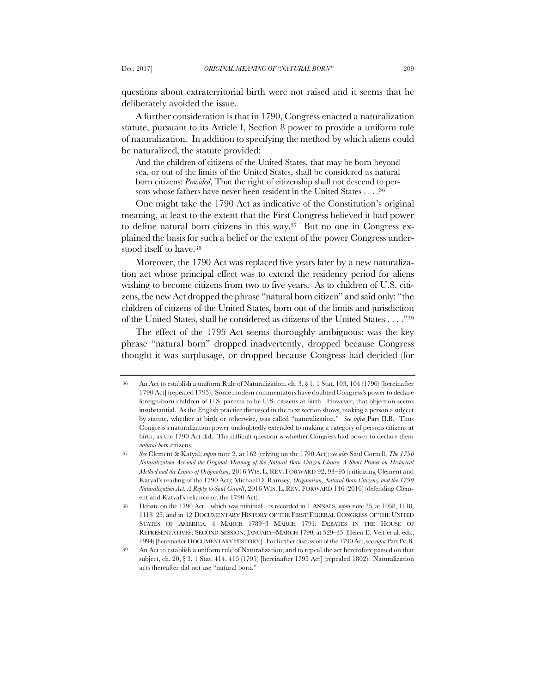questions about extraterritorial birth were not raised and it seems that he deliberately avoided the issue.

A further consideration is that in 1790, Congress enacted a naturalization statute, pursuant to its Article I, Section 8 power to provide a uniform rule of naturalization. In addition to specifying the method by which aliens could be naturalized, the statute provided:

And the children of citizens of the United States, that may be born beyond sea, or out of the limits of the United States, shall be considered as natural born citizens: *Provided*, That the right of citizenship shall not descend to persons whose fathers have never been resident in the United States . . . .36

One might take the 1790 Act as indicative of the Constitution's original meaning, at least to the extent that the First Congress believed it had power to define natural born citizens in this way.37 But no one in Congress explained the basis for such a belief or the extent of the power Congress understood itself to have.38

Moreover, the 1790 Act was replaced five years later by a new naturalization act whose principal effect was to extend the residency period for aliens wishing to become citizens from two to five years. As to children of U.S. citizens, the new Act dropped the phrase "natural born citizen" and said only: "the children of citizens of the United States, born out of the limits and jurisdiction of the United States, shall be considered as citizens of the United States . . . ."39

The effect of the 1795 Act seems thoroughly ambiguous: was the key phrase "natural born" dropped inadvertently, dropped because Congress thought it was surplusage, or dropped because Congress had decided (for

An Act to establish a uniform Rule of Naturalization, ch. 3, § 1, 1 Stat. 103, 104 (1790) [hereinafter 1790 Act] (repealed 1795). Some modern commentators have doubted Congress's power to declare foreign-born children of U.S. parents to be U.S. citizens at birth. However, that objection seems insubstantial. As the English practice discussed in the next section shows, making a person a subject by statute, whether at birth or otherwise, was called "naturalization." *See infra* Part II.B. Thus Congress's naturalization power undoubtedly extended to making a category of persons citizens at birth, as the 1790 Act did. The difficult question is whether Congress had power to declare them *natural born* citizens.

<sup>37</sup> *See* Clement & Katyal, *supra* note 2, at 162 (relying on the 1790 Act); *see also* Saul Cornell, *The 1790 Naturalization Act and the Original Meaning of the Natural Born Citizen Clause: A Short Primer on Historical Method and the Limits of Originalism*, 2016 WIS. L. REV. FORWARD 92, 93–95 (criticizing Clement and Katyal's reading of the 1790 Act); Michael D. Ramsey, *Originalism, Natural Born Citizens, and the 1790 Naturalization Act: A Reply to Saul Cornell*, 2016 WIS. L. REV. FORWARD 146 (2016) (defending Clement and Katyal's reliance on the 1790 Act).

<sup>38</sup> Debate on the 1790 Act—which was minimal—is recorded in 1 ANNALS, *supra* note 35, at 1058, 1110, 1118–25, and in 12 DOCUMENTARY HISTORY OF THE FIRST FEDERAL CONGRESS OF THE UNITED STATES OF AMERICA, 4 MARCH 1789–3 MARCH 1791: DEBATES IN THE HOUSE OF REPRESENTATIVES: SECOND SESSION: JANUARY–MARCH 1790, at 529–35 (Helen E. Veit et al. eds., 1994) [hereinafter DOCUMENTARY HISTORY]. For further discussion of the 1790 Act, see *infra* Part IV.B.

An Act to establish a uniform rule of Naturalization; and to repeal the act heretofore passed on that subject, ch. 20, § 3, 1 Stat. 414, 415 (1795) [hereinafter 1795 Act] (repealed 1802). Naturalization acts thereafter did not use "natural born."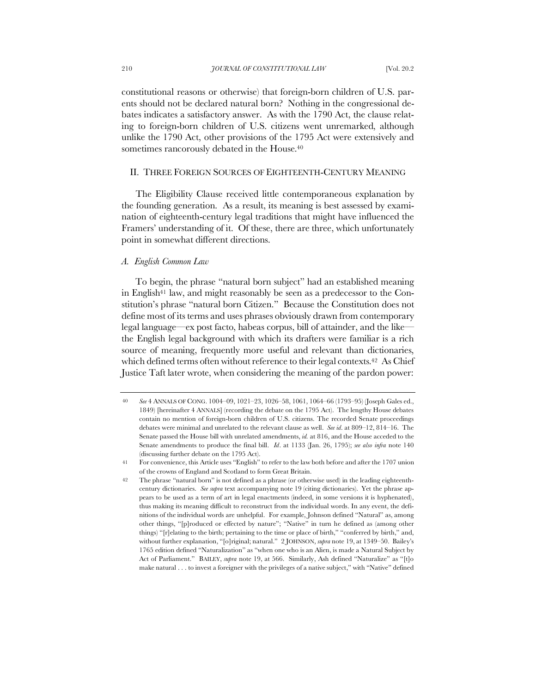constitutional reasons or otherwise) that foreign-born children of U.S. parents should not be declared natural born? Nothing in the congressional debates indicates a satisfactory answer. As with the 1790 Act, the clause relating to foreign-born children of U.S. citizens went unremarked, although unlike the 1790 Act, other provisions of the 1795 Act were extensively and sometimes rancorously debated in the House.<sup>40</sup>

# II. THREE FOREIGN SOURCES OF EIGHTEENTH-CENTURY MEANING

The Eligibility Clause received little contemporaneous explanation by the founding generation. As a result, its meaning is best assessed by examination of eighteenth-century legal traditions that might have influenced the Framers' understanding of it. Of these, there are three, which unfortunately point in somewhat different directions.

### *A. English Common Law*

To begin, the phrase "natural born subject" had an established meaning in English<sup>41</sup> law, and might reasonably be seen as a predecessor to the Constitution's phrase "natural born Citizen." Because the Constitution does not define most of its terms and uses phrases obviously drawn from contemporary legal language—ex post facto, habeas corpus, bill of attainder, and the like the English legal background with which its drafters were familiar is a rich source of meaning, frequently more useful and relevant than dictionaries, which defined terms often without reference to their legal contexts.<sup>42</sup> As Chief Justice Taft later wrote, when considering the meaning of the pardon power:

<sup>40</sup> *See* 4 ANNALS OF CONG. 1004–09, 1021–23, 1026–58, 1061, 1064–66 (1793–95) (Joseph Gales ed., 1849) [hereinafter 4 ANNALS] (recording the debate on the 1795 Act). The lengthy House debates contain no mention of foreign-born children of U.S. citizens. The recorded Senate proceedings debates were minimal and unrelated to the relevant clause as well. *See id*. at 809–12, 814–16. The Senate passed the House bill with unrelated amendments, *id.* at 816, and the House acceded to the Senate amendments to produce the final bill. *Id*. at 1133 (Jan. 26, 1795); *see also infra* note 140 (discussing further debate on the 1795 Act).

<sup>41</sup> For convenience, this Article uses "English" to refer to the law both before and after the 1707 union of the crowns of England and Scotland to form Great Britain.

<sup>42</sup> The phrase "natural born" is not defined as a phrase (or otherwise used) in the leading eighteenthcentury dictionaries. *See supra* text accompanying note 19 (citing dictionaries). Yet the phrase appears to be used as a term of art in legal enactments (indeed, in some versions it is hyphenated), thus making its meaning difficult to reconstruct from the individual words. In any event, the definitions of the individual words are unhelpful. For example, Johnson defined "Natural" as, among other things, "[p]roduced or effected by nature"; "Native" in turn he defined as (among other things) "[r]elating to the birth; pertaining to the time or place of birth," "conferred by birth," and, without further explanation, "[o]riginal; natural." 2 JOHNSON, *supra* note 19, at 1349–50. Bailey's 1765 edition defined "Naturalization" as "when one who is an Alien, is made a Natural Subject by Act of Parliament." BAILEY, *supra* note 19, at 566. Similarly, Ash defined "Naturalize" as "[t]o make natural . . . to invest a foreigner with the privileges of a native subject," with "Native" defined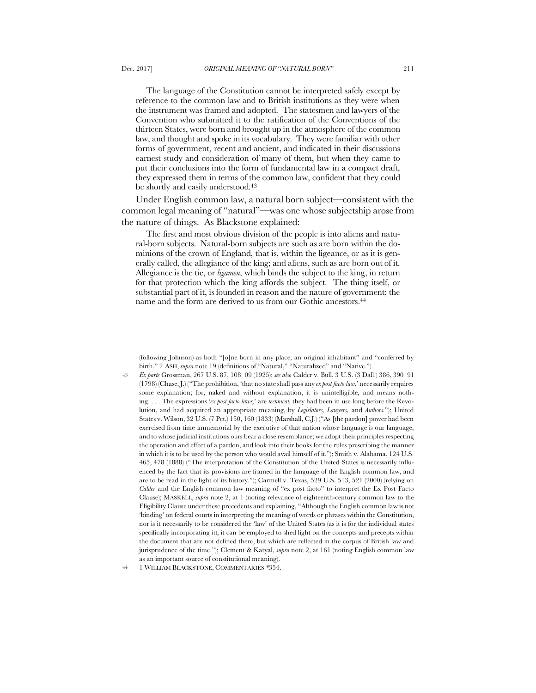The language of the Constitution cannot be interpreted safely except by reference to the common law and to British institutions as they were when the instrument was framed and adopted. The statesmen and lawyers of the Convention who submitted it to the ratification of the Conventions of the thirteen States, were born and brought up in the atmosphere of the common law, and thought and spoke in its vocabulary. They were familiar with other forms of government, recent and ancient, and indicated in their discussions earnest study and consideration of many of them, but when they came to

put their conclusions into the form of fundamental law in a compact draft, they expressed them in terms of the common law, confident that they could be shortly and easily understood.<sup>43</sup>

Under English common law, a natural born subject—consistent with the common legal meaning of "natural"—was one whose subjectship arose from the nature of things. As Blackstone explained:

The first and most obvious division of the people is into aliens and natural-born subjects. Natural-born subjects are such as are born within the dominions of the crown of England, that is, within the ligeance, or as it is generally called, the allegiance of the king; and aliens, such as are born out of it. Allegiance is the tie, or *ligamen*, which binds the subject to the king, in return for that protection which the king affords the subject. The thing itself, or substantial part of it, is founded in reason and the nature of government; the name and the form are derived to us from our Gothic ancestors.<sup>44</sup>

44 1 WILLIAM BLACKSTONE, COMMENTARIES *\**354.

<sup>(</sup>following Johnson) as both "[o]ne born in any place, an original inhabitant" and "conferred by birth." 2 ASH, *supra* note 19 (definitions of "Natural," "Naturalized" and "Native.").

<sup>43</sup> *Ex parte* Grossman, 267 U.S. 87, 108–09 (1925); *see also* Calder v. Bull, 3 U.S. (3 Dall.) 386, 390–91 (1798) (Chase, J.) ("The prohibition, 'that no state shall pass any *ex post facto law*,' necessarily requires some explanation; for, naked and without explanation, it is unintelligible, and means nothing. . . . The expressions '*ex post facto laws,*' are *technical,* they had been in use long before the Revolution, and had acquired an appropriate meaning, by *Legislators, Lawyers,* and *Authors.*"); United States v. Wilson, 32 U.S. (7 Pet.) 150, 160 (1833) (Marshall, C.J.) ("As [the pardon] power had been exercised from time immemorial by the executive of that nation whose language is our language, and to whose judicial institutions ours bear a close resemblance; we adopt their principles respecting the operation and effect of a pardon, and look into their books for the rules prescribing the manner in which it is to be used by the person who would avail himself of it."); Smith v. Alabama, 124 U.S. 465, 478 (1888) ("The interpretation of the Constitution of the United States is necessarily influenced by the fact that its provisions are framed in the language of the English common law, and are to be read in the light of its history."); Carmell v. Texas, 529 U.S. 513, 521 (2000) (relying on *Calder* and the English common law meaning of "ex post facto" to interpret the Ex Post Facto Clause); MASKELL, *supra* note 2, at 1 (noting relevance of eighteenth-century common law to the Eligibility Clause under these precedents and explaining, "Although the English common law is not 'binding' on federal courts in interpreting the meaning of words or phrases within the Constitution, nor is it necessarily to be considered the 'law' of the United States (as it is for the individual states specifically incorporating it), it can be employed to shed light on the concepts and precepts within the document that are not defined there, but which are reflected in the corpus of British law and jurisprudence of the time."); Clement & Katyal, *supra* note 2, at 161 (noting English common law as an important source of constitutional meaning).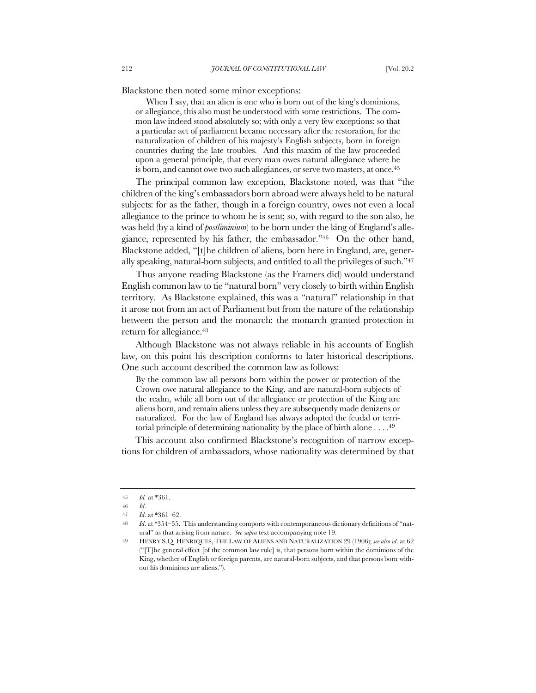Blackstone then noted some minor exceptions:

When I say, that an alien is one who is born out of the king's dominions, or allegiance, this also must be understood with some restrictions. The common law indeed stood absolutely so; with only a very few exceptions: so that a particular act of parliament became necessary after the restoration, for the naturalization of children of his majesty's English subjects, born in foreign countries during the late troubles. And this maxim of the law proceeded upon a general principle, that every man owes natural allegiance where he is born, and cannot owe two such allegiances, or serve two masters, at once.<sup>45</sup>

The principal common law exception, Blackstone noted, was that "the children of the king's embassadors born abroad were always held to be natural subjects: for as the father, though in a foreign country, owes not even a local allegiance to the prince to whom he is sent; so, with regard to the son also, he was held (by a kind of *postliminium*) to be born under the king of England's allegiance, represented by his father, the embassador."46 On the other hand, Blackstone added, "[t]he children of aliens, born here in England, are, generally speaking, natural-born subjects, and entitled to all the privileges of such."47

Thus anyone reading Blackstone (as the Framers did) would understand English common law to tie "natural born" very closely to birth within English territory. As Blackstone explained, this was a "natural" relationship in that it arose not from an act of Parliament but from the nature of the relationship between the person and the monarch: the monarch granted protection in return for allegiance.48

Although Blackstone was not always reliable in his accounts of English law, on this point his description conforms to later historical descriptions. One such account described the common law as follows:

By the common law all persons born within the power or protection of the Crown owe natural allegiance to the King, and are natural-born subjects of the realm, while all born out of the allegiance or protection of the King are aliens born, and remain aliens unless they are subsequently made denizens or naturalized. For the law of England has always adopted the feudal or territorial principle of determining nationality by the place of birth alone . . . . 49

This account also confirmed Blackstone's recognition of narrow exceptions for children of ambassadors, whose nationality was determined by that

<sup>45</sup> *Id.* at \*361.

<sup>46</sup> *Id*.

<sup>47</sup> *Id*. at \*361–62.

<sup>48</sup> *Id*. at \*354–55. This understanding comports with contemporaneous dictionary definitions of "natural" as that arising from nature. *See supra* text accompanying note 19.

<sup>49</sup> HENRY S.Q. HENRIQUES,THE LAW OF ALIENS AND NATURALIZATION 29 (1906); *see also id*. at 62 ("[T]he general effect [of the common law rule] is, that persons born within the dominions of the King, whether of English or foreign parents, are natural-born subjects, and that persons born without his dominions are aliens.").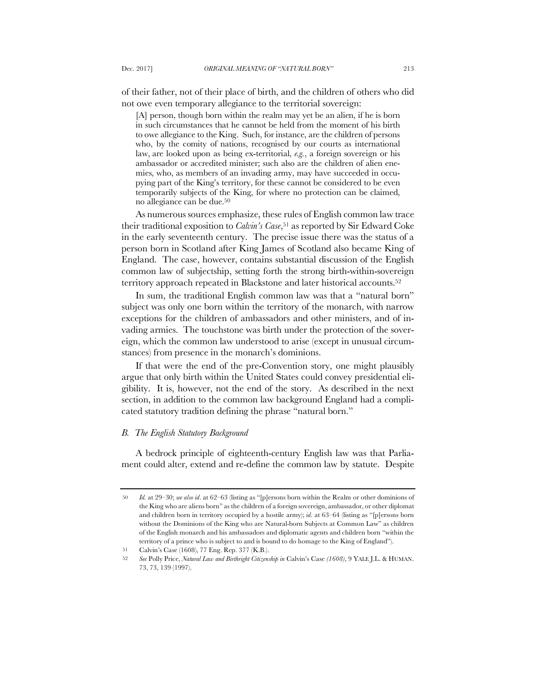of their father, not of their place of birth, and the children of others who did not owe even temporary allegiance to the territorial sovereign:

[A] person, though born within the realm may yet be an alien, if he is born in such circumstances that he cannot be held from the moment of his birth to owe allegiance to the King. Such, for instance, are the children of persons who, by the comity of nations, recognised by our courts as international law, are looked upon as being ex-territorial, *e.g.*, a foreign sovereign or his ambassador or accredited minister; such also are the children of alien enemies, who, as members of an invading army, may have succeeded in occupying part of the King's territory, for these cannot be considered to be even temporarily subjects of the King, for where no protection can be claimed, no allegiance can be due.50

As numerous sources emphasize, these rules of English common law trace their traditional exposition to *Calvin's Case*,51 as reported by Sir Edward Coke in the early seventeenth century. The precise issue there was the status of a person born in Scotland after King James of Scotland also became King of England. The case, however, contains substantial discussion of the English common law of subjectship, setting forth the strong birth-within-sovereign territory approach repeated in Blackstone and later historical accounts.52

In sum, the traditional English common law was that a "natural born" subject was only one born within the territory of the monarch, with narrow exceptions for the children of ambassadors and other ministers, and of invading armies. The touchstone was birth under the protection of the sovereign, which the common law understood to arise (except in unusual circumstances) from presence in the monarch's dominions.

If that were the end of the pre-Convention story, one might plausibly argue that only birth within the United States could convey presidential eligibility. It is, however, not the end of the story. As described in the next section, in addition to the common law background England had a complicated statutory tradition defining the phrase "natural born."

## *B. The English Statutory Background*

A bedrock principle of eighteenth-century English law was that Parliament could alter, extend and re-define the common law by statute. Despite

<sup>50</sup> *Id.* at 29–30; *see also id*. at 62–63 (listing as "[p]ersons born within the Realm or other dominions of the King who are aliens born" as the children of a foreign sovereign, ambassador, or other diplomat and children born in territory occupied by a hostile army); *id*. at 63–64 (listing as "[p]ersons born without the Dominions of the King who are Natural-born Subjects at Common Law" as children of the English monarch and his ambassadors and diplomatic agents and children born "within the territory of a prince who is subject to and is bound to do homage to the King of England").

<sup>51</sup> Calvin's Case (1608), 77 Eng. Rep. 377 (K.B.).

<sup>52</sup> *See* Polly Price, *Natural Law and Birthright Citizenship in* Calvin's Case *(1608)*, 9 YALE J.L. & HUMAN. 73, 73, 139 (1997).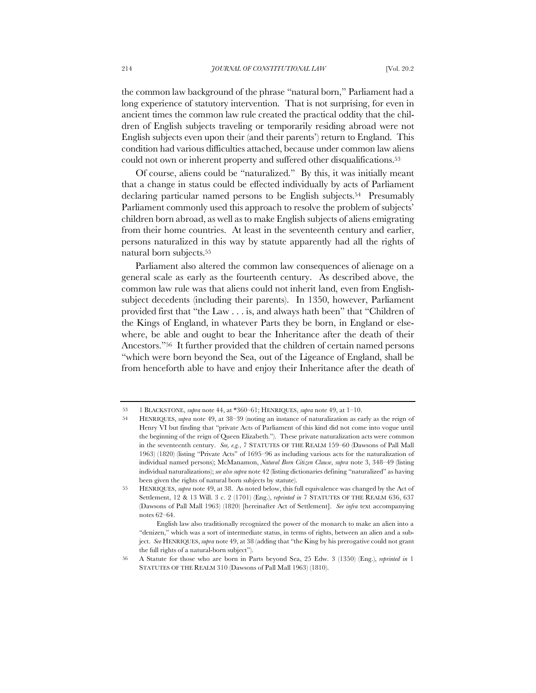the common law background of the phrase "natural born," Parliament had a long experience of statutory intervention. That is not surprising, for even in ancient times the common law rule created the practical oddity that the children of English subjects traveling or temporarily residing abroad were not English subjects even upon their (and their parents') return to England. This condition had various difficulties attached, because under common law aliens could not own or inherent property and suffered other disqualifications.<sup>53</sup>

Of course, aliens could be "naturalized." By this, it was initially meant that a change in status could be effected individually by acts of Parliament declaring particular named persons to be English subjects.54 Presumably Parliament commonly used this approach to resolve the problem of subjects' children born abroad, as well as to make English subjects of aliens emigrating from their home countries. At least in the seventeenth century and earlier, persons naturalized in this way by statute apparently had all the rights of natural born subjects.55

Parliament also altered the common law consequences of alienage on a general scale as early as the fourteenth century. As described above, the common law rule was that aliens could not inherit land, even from Englishsubject decedents (including their parents). In 1350, however, Parliament provided first that "the Law . . . is, and always hath been" that "Children of the Kings of England, in whatever Parts they be born, in England or elsewhere, be able and ought to bear the Inheritance after the death of their Ancestors."56 It further provided that the children of certain named persons "which were born beyond the Sea, out of the Ligeance of England, shall be from henceforth able to have and enjoy their Inheritance after the death of

<sup>53</sup> 1 BLACKSTONE, *supra* note 44, at \*360–61; HENRIQUES, *supra* note 49, at 1–10.

<sup>54</sup> HENRIQUES, *supra* note 49, at 38–39 (noting an instance of naturalization as early as the reign of Henry VI but finding that "private Acts of Parliament of this kind did not come into vogue until the beginning of the reign of Queen Elizabeth."). These private naturalization acts were common in the seventeenth century. *See, e.g.*, 7 STATUTES OF THE REALM 159–60 (Dawsons of Pall Mall 1963) (1820) (listing "Private Acts" of 1695–96 as including various acts for the naturalization of individual named persons); McManamon, *Natural Born Citizen Clause*, *supra* note 3, 348–49 (listing individual naturalizations); *see also supra* note 42 (listing dictionaries defining "naturalized" as having been given the rights of natural born subjects by statute).

<sup>55</sup> HENRIQUES, *supra* note 49, at 38. As noted below, this full equivalence was changed by the Act of Settlement, 12 & 13 Will. 3 c. 2 (1701) (Eng.), *reprinted in* 7 STATUTES OF THE REALM 636, 637 (Dawsons of Pall Mall 1963) (1820) [hereinafter Act of Settlement]. *See infra* text accompanying notes 62–64.

English law also traditionally recognized the power of the monarch to make an alien into a "denizen," which was a sort of intermediate status, in terms of rights, between an alien and a subject. *See* HENRIQUES, *supra* note 49, at 38 (adding that "the King by his prerogative could not grant the full rights of a natural-born subject").

<sup>56</sup> A Statute for those who are born in Parts beyond Sea, 25 Edw. 3 (1350) (Eng.), *reprinted in* 1 STATUTES OF THE REALM 310 (Dawsons of Pall Mall 1963) (1810).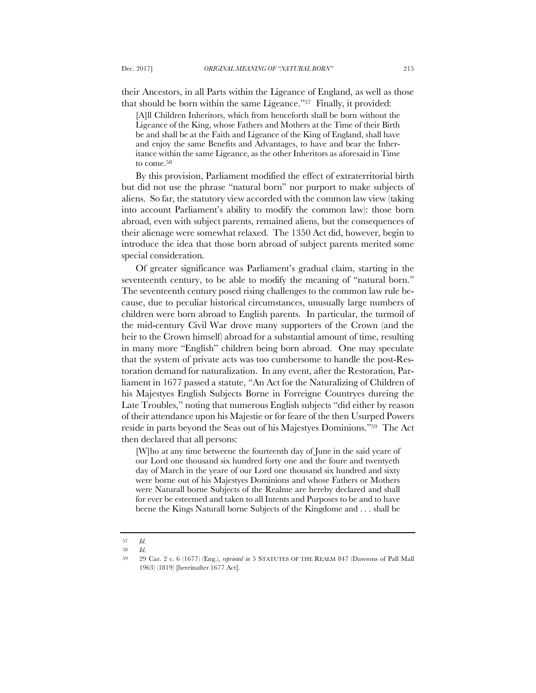their Ancestors, in all Parts within the Ligeance of England, as well as those that should be born within the same Ligeance."57 Finally, it provided:

[A]ll Children Inheritors, which from henceforth shall be born without the Ligeance of the King, whose Fathers and Mothers at the Time of their Birth be and shall be at the Faith and Ligeance of the King of England, shall have and enjoy the same Benefits and Advantages, to have and bear the Inheritance within the same Ligeance, as the other Inheritors as aforesaid in Time to come.58

By this provision, Parliament modified the effect of extraterritorial birth but did not use the phrase "natural born" nor purport to make subjects of aliens. So far, the statutory view accorded with the common law view (taking into account Parliament's ability to modify the common law): those born abroad, even with subject parents, remained aliens, but the consequences of their alienage were somewhat relaxed. The 1350 Act did, however, begin to introduce the idea that those born abroad of subject parents merited some special consideration.

Of greater significance was Parliament's gradual claim, starting in the seventeenth century, to be able to modify the meaning of "natural born." The seventeenth century posed rising challenges to the common law rule because, due to peculiar historical circumstances, unusually large numbers of children were born abroad to English parents. In particular, the turmoil of the mid-century Civil War drove many supporters of the Crown (and the heir to the Crown himself) abroad for a substantial amount of time, resulting in many more "English" children being born abroad. One may speculate that the system of private acts was too cumbersome to handle the post-Restoration demand for naturalization. In any event, after the Restoration, Parliament in 1677 passed a statute, "An Act for the Naturalizing of Children of his Majestyes English Subjects Borne in Forreigne Countryes dureing the Late Troubles," noting that numerous English subjects "did either by reason of their attendance upon his Majestie or for feare of the then Usurped Powers reside in parts beyond the Seas out of his Majestyes Dominions."59 The Act then declared that all persons:

[W]ho at any time betweene the fourteenth day of June in the said yeare of our Lord one thousand six hundred forty one and the foure and twentyeth day of March in the yeare of our Lord one thousand six hundred and sixty were borne out of his Majestyes Dominions and whose Fathers or Mothers were Naturall borne Subjects of the Realme are hereby declared and shall for ever be esteemed and taken to all Intents and Purposes to be and to have beene the Kings Naturall borne Subjects of the Kingdome and . . . shall be

<sup>57</sup> *Id.*

<sup>58</sup> *Id.*

<sup>59</sup> 29 Car. 2 c. 6 (1677) (Eng.), *reprinted in* 5 STATUTES OF THE REALM 847 (Dawsons of Pall Mall 1963) (1819) [hereinafter 1677 Act].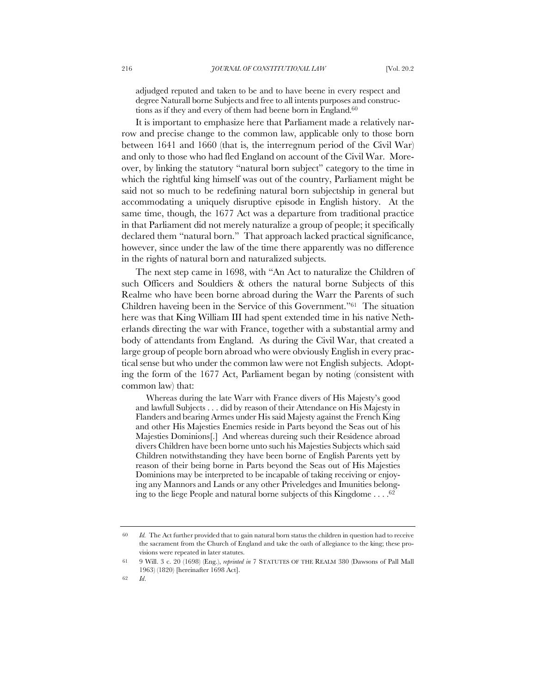adjudged reputed and taken to be and to have beene in every respect and degree Naturall borne Subjects and free to all intents purposes and constructions as if they and every of them had beene born in England.<sup>60</sup>

It is important to emphasize here that Parliament made a relatively narrow and precise change to the common law, applicable only to those born between 1641 and 1660 (that is, the interregnum period of the Civil War) and only to those who had fled England on account of the Civil War. Moreover, by linking the statutory "natural born subject" category to the time in which the rightful king himself was out of the country, Parliament might be said not so much to be redefining natural born subjectship in general but accommodating a uniquely disruptive episode in English history. At the same time, though, the 1677 Act was a departure from traditional practice in that Parliament did not merely naturalize a group of people; it specifically declared them "natural born." That approach lacked practical significance, however, since under the law of the time there apparently was no difference in the rights of natural born and naturalized subjects.

The next step came in 1698, with "An Act to naturalize the Children of such Officers and Souldiers & others the natural borne Subjects of this Realme who have been borne abroad during the Warr the Parents of such Children haveing been in the Service of this Government."61 The situation here was that King William III had spent extended time in his native Netherlands directing the war with France, together with a substantial army and body of attendants from England. As during the Civil War, that created a large group of people born abroad who were obviously English in every practical sense but who under the common law were not English subjects. Adopting the form of the 1677 Act, Parliament began by noting (consistent with common law) that:

Whereas during the late Warr with France divers of His Majesty's good and lawfull Subjects . . . did by reason of their Attendance on His Majesty in Flanders and bearing Armes under His said Majesty against the French King and other His Majesties Enemies reside in Parts beyond the Seas out of his Majesties Dominions[.] And whereas dureing such their Residence abroad divers Children have been borne unto such his Majesties Subjects which said Children notwithstanding they have been borne of English Parents yett by reason of their being borne in Parts beyond the Seas out of His Majesties Dominions may be interpreted to be incapable of taking receiving or enjoying any Mannors and Lands or any other Priveledges and Imunities belonging to the liege People and natural borne subjects of this Kingdome  $\dots$ .<sup>62</sup>

<sup>60</sup> *Id.* The Act further provided that to gain natural born status the children in question had to receive the sacrament from the Church of England and take the oath of allegiance to the king; these provisions were repeated in later statutes.

<sup>61</sup> 9 Will. 3 c. 20 (1698) (Eng.), *reprinted in* 7 STATUTES OF THE REALM 380 (Dawsons of Pall Mall 1963) (1820) [hereinafter 1698 Act].

<sup>62</sup> *Id*.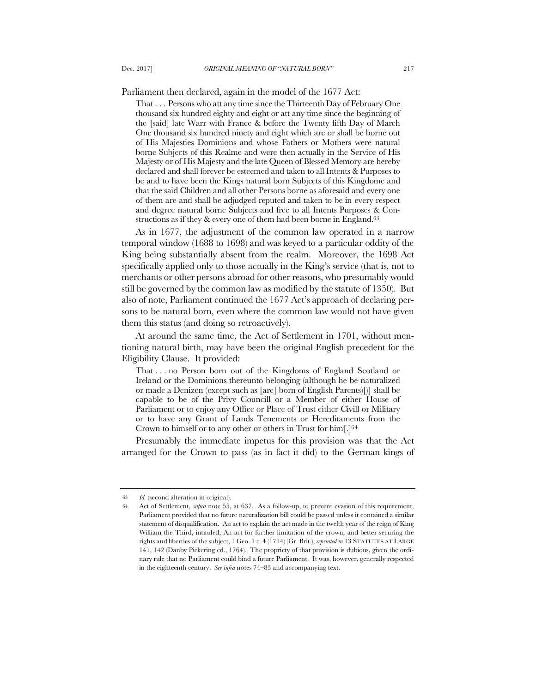Parliament then declared, again in the model of the 1677 Act:

That . . . Persons who att any time since the Thirteenth Day of February One thousand six hundred eighty and eight or att any time since the beginning of the [said] late Warr with France & before the Twenty fifth Day of March One thousand six hundred ninety and eight which are or shall be borne out of His Majesties Dominions and whose Fathers or Mothers were natural borne Subjects of this Realme and were then actually in the Service of His Majesty or of His Majesty and the late Queen of Blessed Memory are hereby declared and shall forever be esteemed and taken to all Intents & Purposes to be and to have been the Kings natural born Subjects of this Kingdome and that the said Children and all other Persons borne as aforesaid and every one of them are and shall be adjudged reputed and taken to be in every respect and degree natural borne Subjects and free to all Intents Purposes & Constructions as if they  $\&$  every one of them had been borne in England.<sup>63</sup>

As in 1677, the adjustment of the common law operated in a narrow temporal window (1688 to 1698) and was keyed to a particular oddity of the King being substantially absent from the realm. Moreover, the 1698 Act specifically applied only to those actually in the King's service (that is, not to merchants or other persons abroad for other reasons, who presumably would still be governed by the common law as modified by the statute of 1350). But also of note, Parliament continued the 1677 Act's approach of declaring persons to be natural born, even where the common law would not have given them this status (and doing so retroactively).

At around the same time, the Act of Settlement in 1701, without mentioning natural birth, may have been the original English precedent for the Eligibility Clause. It provided:

That . . . no Person born out of the Kingdoms of England Scotland or Ireland or the Dominions thereunto belonging (although he be naturalized or made a Denizen (except such as [are] born of English Parents)[)] shall be capable to be of the Privy Councill or a Member of either House of Parliament or to enjoy any Office or Place of Trust either Civill or Military or to have any Grant of Lands Tenements or Hereditaments from the Crown to himself or to any other or others in Trust for  $\lim_{\epsilon \to 0}$  [.]<sup>64</sup>

Presumably the immediate impetus for this provision was that the Act arranged for the Crown to pass (as in fact it did) to the German kings of

<sup>63</sup> *Id.* (second alteration in original).

<sup>64</sup> Act of Settlement, *supra* note 55, at 637. As a follow-up, to prevent evasion of this requirement, Parliament provided that no future naturalization bill could be passed unless it contained a similar statement of disqualification. An act to explain the act made in the twelth year of the reign of King William the Third, intituled, An act for further limitation of the crown, and better securing the rights and liberties of the subject, 1 Geo. 1 c. 4 (1714) (Gr. Brit.), *reprinted in* 13 STATUTES AT LARGE 141, 142 (Danby Pickering ed., 1764). The propriety of that provision is dubious, given the ordinary rule that no Parliament could bind a future Parliament. It was, however, generally respected in the eighteenth century. *See infra* notes 74–83 and accompanying text.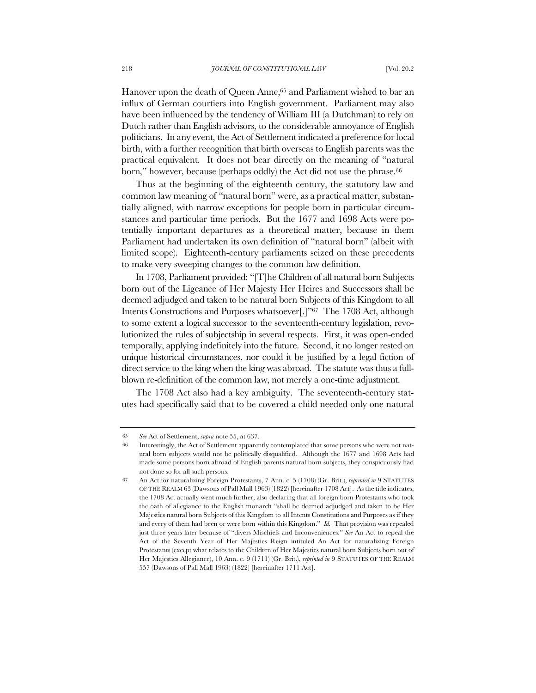Hanover upon the death of Queen Anne,<sup>65</sup> and Parliament wished to bar an influx of German courtiers into English government. Parliament may also have been influenced by the tendency of William III (a Dutchman) to rely on Dutch rather than English advisors, to the considerable annoyance of English politicians. In any event, the Act of Settlement indicated a preference for local birth, with a further recognition that birth overseas to English parents was the practical equivalent. It does not bear directly on the meaning of "natural born," however, because (perhaps oddly) the Act did not use the phrase.<sup>66</sup>

Thus at the beginning of the eighteenth century, the statutory law and common law meaning of "natural born" were, as a practical matter, substantially aligned, with narrow exceptions for people born in particular circumstances and particular time periods. But the 1677 and 1698 Acts were potentially important departures as a theoretical matter, because in them Parliament had undertaken its own definition of "natural born" (albeit with limited scope). Eighteenth-century parliaments seized on these precedents to make very sweeping changes to the common law definition.

In 1708, Parliament provided: "[T]he Children of all natural born Subjects born out of the Ligeance of Her Majesty Her Heires and Successors shall be deemed adjudged and taken to be natural born Subjects of this Kingdom to all Intents Constructions and Purposes whatsoever[.]"67 The 1708 Act, although to some extent a logical successor to the seventeenth-century legislation, revolutionized the rules of subjectship in several respects. First, it was open-ended temporally, applying indefinitely into the future. Second, it no longer rested on unique historical circumstances, nor could it be justified by a legal fiction of direct service to the king when the king was abroad. The statute was thus a fullblown re-definition of the common law, not merely a one-time adjustment.

The 1708 Act also had a key ambiguity. The seventeenth-century statutes had specifically said that to be covered a child needed only one natural

<sup>65</sup> *See* Act of Settlement, *supra* note 55, at 637.

<sup>66</sup> Interestingly, the Act of Settlement apparently contemplated that some persons who were not natural born subjects would not be politically disqualified. Although the 1677 and 1698 Acts had made some persons born abroad of English parents natural born subjects, they conspicuously had not done so for all such persons.

<sup>67</sup> An Act for naturalizing Foreign Protestants, 7 Ann. c. 5 (1708) (Gr. Brit.), *reprinted in* 9 STATUTES OF THE REALM 63 (Dawsons of Pall Mall 1963) (1822) [hereinafter 1708 Act]. As the title indicates, the 1708 Act actually went much further, also declaring that all foreign born Protestants who took the oath of allegiance to the English monarch "shall be deemed adjudged and taken to be Her Majesties natural born Subjects of this Kingdom to all Intents Constitutions and Purposes as if they and every of them had been or were born within this Kingdom." *Id.* That provision was repealed just three years later because of "divers Mischiefs and Inconveniences." *See* An Act to repeal the Act of the Seventh Year of Her Majesties Reign intituled An Act for naturalizing Foreign Protestants (except what relates to the Children of Her Majesties natural born Subjects born out of Her Majesties Allegiance), 10 Ann. c. 9 (1711) (Gr. Brit.), *reprinted in* 9 STATUTES OF THE REALM 557 (Dawsons of Pall Mall 1963) (1822) [hereinafter 1711 Act].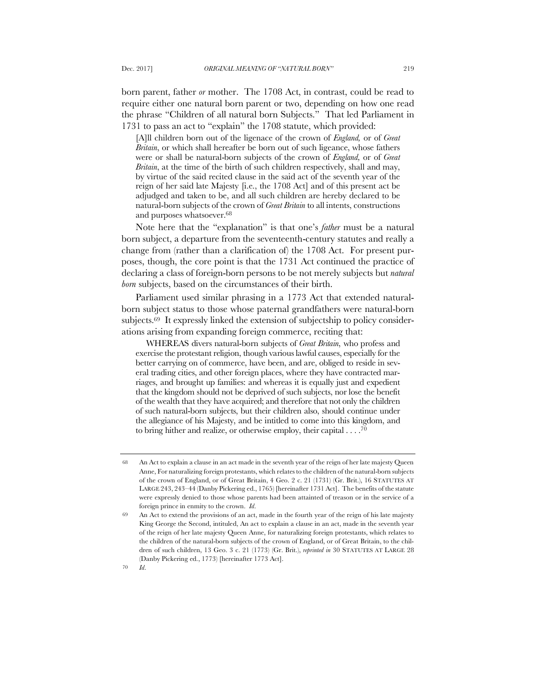born parent, father *or* mother. The 1708 Act, in contrast, could be read to require either one natural born parent or two, depending on how one read the phrase "Children of all natural born Subjects." That led Parliament in 1731 to pass an act to "explain" the 1708 statute, which provided:

[A]ll children born out of the ligenace of the crown of *England,* or of *Great Britain*, or which shall hereafter be born out of such ligeance, whose fathers were or shall be natural-born subjects of the crown of *England,* or of *Great Britain*, at the time of the birth of such children respectively, shall and may, by virtue of the said recited clause in the said act of the seventh year of the reign of her said late Majesty [i.e., the 1708 Act] and of this present act be adjudged and taken to be, and all such children are hereby declared to be natural-born subjects of the crown of *Great Britain* to all intents, constructions and purposes whatsoever.<sup>68</sup>

Note here that the "explanation" is that one's *father* must be a natural born subject, a departure from the seventeenth-century statutes and really a change from (rather than a clarification of) the 1708 Act. For present purposes, though, the core point is that the 1731 Act continued the practice of declaring a class of foreign-born persons to be not merely subjects but *natural born* subjects, based on the circumstances of their birth.

Parliament used similar phrasing in a 1773 Act that extended naturalborn subject status to those whose paternal grandfathers were natural-born subjects.69 It expressly linked the extension of subjectship to policy considerations arising from expanding foreign commerce, reciting that:

WHEREAS divers natural-born subjects of *Great Britain*, who profess and exercise the protestant religion, though various lawful causes, especially for the better carrying on of commerce, have been, and are, obliged to reside in several trading cities, and other foreign places, where they have contracted marriages, and brought up families: and whereas it is equally just and expedient that the kingdom should not be deprived of such subjects, nor lose the benefit of the wealth that they have acquired; and therefore that not only the children of such natural-born subjects, but their children also, should continue under the allegiance of his Majesty, and be intitled to come into this kingdom, and to bring hither and realize, or otherwise employ, their capital . . . . 70

<sup>68</sup> An Act to explain a clause in an act made in the seventh year of the reign of her late majesty Queen Anne, For naturalizing foreign protestants, which relates to the children of the natural-born subjects of the crown of England, or of Great Britain, 4 Geo. 2 c. 21 (1731) (Gr. Brit.), 16 STATUTES AT LARGE 243, 243–44 (Danby Pickering ed., 1765) [hereinafter 1731 Act]. The benefits of the statute were expressly denied to those whose parents had been attainted of treason or in the service of a foreign prince in enmity to the crown. *Id*.

<sup>69</sup> An Act to extend the provisions of an act, made in the fourth year of the reign of his late majesty King George the Second, intituled, An act to explain a clause in an act, made in the seventh year of the reign of her late majesty Queen Anne, for naturalizing foreign protestants, which relates to the children of the natural-born subjects of the crown of England, or of Great Britain, to the children of such children, 13 Geo. 3 c. 21 (1773) (Gr. Brit.), *reprinted in* 30 STATUTES AT LARGE 28 (Danby Pickering ed., 1773) [hereinafter 1773 Act].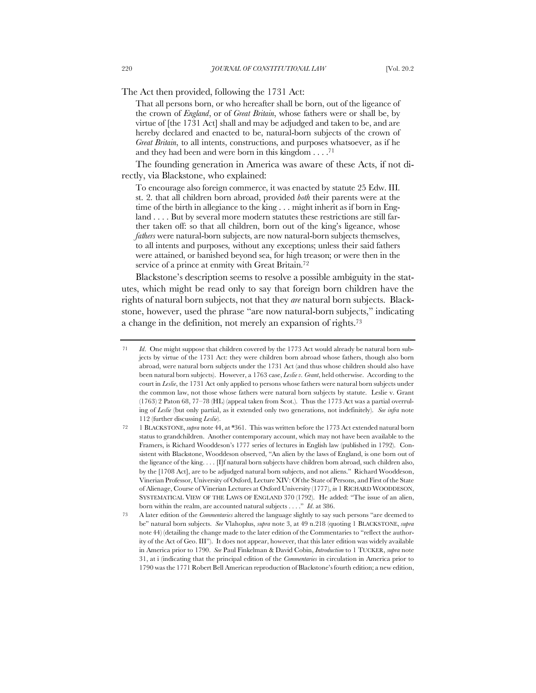The Act then provided, following the 1731 Act:

That all persons born, or who hereafter shall be born, out of the ligeance of the crown of *England*, or of *Great Britain*, whose fathers were or shall be, by virtue of [the 1731 Act] shall and may be adjudged and taken to be, and are hereby declared and enacted to be, natural-born subjects of the crown of *Great Britain*, to all intents, constructions, and purposes whatsoever, as if he and they had been and were born in this kingdom  $\dots$ .<sup>71</sup>

The founding generation in America was aware of these Acts, if not directly, via Blackstone, who explained:

To encourage also foreign commerce, it was enacted by statute 25 Edw. III. st. 2. that all children born abroad, provided *both* their parents were at the time of the birth in allegiance to the king . . . might inherit as if born in England . . . . But by several more modern statutes these restrictions are still farther taken off: so that all children, born out of the king's ligeance, whose *fathers* were natural-born subjects, are now natural-born subjects themselves, to all intents and purposes, without any exceptions; unless their said fathers were attained, or banished beyond sea, for high treason; or were then in the service of a prince at enmity with Great Britain.<sup>72</sup>

Blackstone's description seems to resolve a possible ambiguity in the statutes, which might be read only to say that foreign born children have the rights of natural born subjects, not that they *are* natural born subjects. Blackstone, however, used the phrase "are now natural-born subjects," indicating a change in the definition, not merely an expansion of rights.73

<sup>71</sup> *Id*. One might suppose that children covered by the 1773 Act would already be natural born subjects by virtue of the 1731 Act: they were children born abroad whose fathers, though also born abroad, were natural born subjects under the 1731 Act (and thus whose children should also have been natural born subjects). However, a 1763 case, *Leslie v. Grant*, held otherwise. According to the court in *Leslie*, the 1731 Act only applied to persons whose fathers were natural born subjects under the common law, not those whose fathers were natural born subjects by statute. Leslie v. Grant (1763) 2 Paton 68, 77–78 (HL) (appeal taken from Scot.). Thus the 1773 Act was a partial overruling of *Leslie* (but only partial, as it extended only two generations, not indefinitely). *See infra* note 112 (further discussing *Leslie*).

<sup>72</sup> 1 BLACKSTONE, *supra* note 44, at \*361. This was written before the 1773 Act extended natural born status to grandchildren. Another contemporary account, which may not have been available to the Framers, is Richard Wooddeson's 1777 series of lectures in English law (published in 1792). Consistent with Blackstone, Wooddeson observed, "An alien by the laws of England, is one born out of the ligeance of the king. . . . [I]f natural born subjects have children born abroad, such children also, by the [1708 Act], are to be adjudged natural born subjects, and not aliens." Richard Wooddeson, Vinerian Professor, University of Oxford, Lecture XIV: Of the State of Persons, and First of the State of Alienage, Course of Vinerian Lectures at Oxford University (1777), *in* 1 RICHARD WOODDESON, SYSTEMATICAL VIEW OF THE LAWS OF ENGLAND 370 (1792). He added: "The issue of an alien, born within the realm, are accounted natural subjects . . . ." *Id*. at 386.

<sup>73</sup> A later edition of the *Commentaries* altered the language slightly to say such persons "are deemed to be" natural born subjects. *See* Vlahoplus, *supra* note 3, at 49 n.218 (quoting 1 BLACKSTONE, *supra* note 44) (detailing the change made to the later edition of the Commentaries to "reflect the authority of the Act of Geo. III"). It does not appear, however, that this later edition was widely available in America prior to 1790. *See* Paul Finkelman & David Cobin, *Introduction* to 1 TUCKER, *supra* note 31, at i (indicating that the principal edition of the *Commentaries* in circulation in America prior to 1790 was the 1771 Robert Bell American reproduction of Blackstone's fourth edition; a new edition,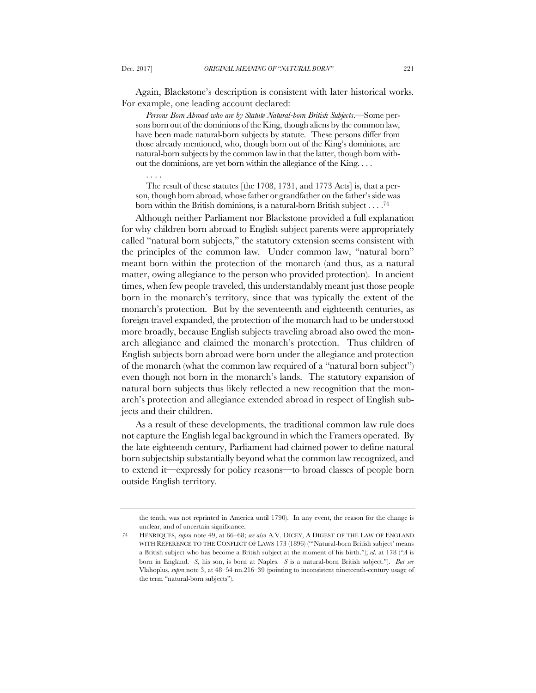Again, Blackstone's description is consistent with later historical works. For example, one leading account declared:

*Persons Born Abroad who are by Statute Natural-born British Subjects*.—Some persons born out of the dominions of the King, though aliens by the common law, have been made natural-born subjects by statute. These persons differ from those already mentioned, who, though born out of the King's dominions, are natural-born subjects by the common law in that the latter, though born without the dominions, are yet born within the allegiance of the King. . . .

. . . .

The result of these statutes [the 1708, 1731, and 1773 Acts] is, that a person, though born abroad, whose father or grandfather on the father's side was born within the British dominions, is a natural-born British subject . . . .74

Although neither Parliament nor Blackstone provided a full explanation for why children born abroad to English subject parents were appropriately called "natural born subjects," the statutory extension seems consistent with the principles of the common law. Under common law, "natural born" meant born within the protection of the monarch (and thus, as a natural matter, owing allegiance to the person who provided protection). In ancient times, when few people traveled, this understandably meant just those people born in the monarch's territory, since that was typically the extent of the monarch's protection. But by the seventeenth and eighteenth centuries, as foreign travel expanded, the protection of the monarch had to be understood more broadly, because English subjects traveling abroad also owed the monarch allegiance and claimed the monarch's protection. Thus children of English subjects born abroad were born under the allegiance and protection of the monarch (what the common law required of a "natural born subject") even though not born in the monarch's lands. The statutory expansion of natural born subjects thus likely reflected a new recognition that the monarch's protection and allegiance extended abroad in respect of English subjects and their children.

As a result of these developments, the traditional common law rule does not capture the English legal background in which the Framers operated. By the late eighteenth century, Parliament had claimed power to define natural born subjectship substantially beyond what the common law recognized, and to extend it—expressly for policy reasons—to broad classes of people born outside English territory.

the tenth, was not reprinted in America until 1790). In any event, the reason for the change is unclear, and of uncertain significance.

<sup>74</sup> HENRIQUES, *supra* note 49, at 66–68; *see also* A.V. DICEY, A DIGEST OF THE LAW OF ENGLAND WITH REFERENCE TO THE CONFLICT OF LAWS 173 (1896) ("'Natural-born British subject' means a British subject who has become a British subject at the moment of his birth."); *id*. at 178 ("*A* is born in England. *S*, his son, is born at Naples. *S* is a natural-born British subject."). *But see* Vlahoplus, *supra* note 3, at 48–54 nn.216–39 (pointing to inconsistent nineteenth-century usage of the term "natural-born subjects").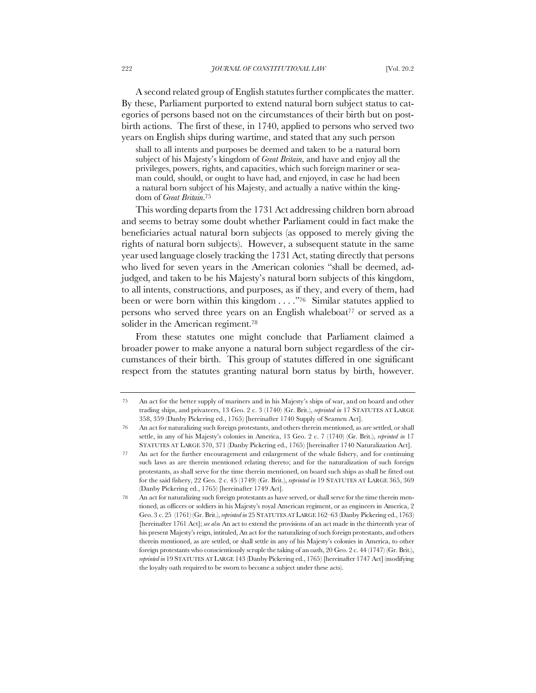A second related group of English statutes further complicates the matter. By these, Parliament purported to extend natural born subject status to categories of persons based not on the circumstances of their birth but on postbirth actions. The first of these, in 1740, applied to persons who served two years on English ships during wartime, and stated that any such person

shall to all intents and purposes be deemed and taken to be a natural born subject of his Majesty's kingdom of *Great Britain*, and have and enjoy all the privileges, powers, rights, and capacities, which such foreign mariner or seaman could, should, or ought to have had, and enjoyed, in case he had been a natural born subject of his Majesty, and actually a native within the kingdom of *Great Britain*. 75

This wording departs from the 1731 Act addressing children born abroad and seems to betray some doubt whether Parliament could in fact make the beneficiaries actual natural born subjects (as opposed to merely giving the rights of natural born subjects). However, a subsequent statute in the same year used language closely tracking the 1731 Act, stating directly that persons who lived for seven years in the American colonies "shall be deemed, adjudged, and taken to be his Majesty's natural born subjects of this kingdom, to all intents, constructions, and purposes, as if they, and every of them, had been or were born within this kingdom . . . ."76 Similar statutes applied to persons who served three years on an English whaleboat<sup>77</sup> or served as a solider in the American regiment.<sup>78</sup>

From these statutes one might conclude that Parliament claimed a broader power to make anyone a natural born subject regardless of the circumstances of their birth. This group of statutes differed in one significant respect from the statutes granting natural born status by birth, however.

<sup>75</sup> An act for the better supply of mariners and in his Majesty's ships of war, and on board and other trading ships, and privateers, 13 Geo. 2 c. 3 (1740) (Gr. Brit.), *reprinted in* 17 STATUTES AT LARGE 358, 359 (Danby Pickering ed., 1765) [hereinafter 1740 Supply of Seamen Act].

<sup>76</sup> An act for naturalizing such foreign protestants, and others therein mentioned, as are settled, or shall settle, in any of his Majesty's colonies in America, 13 Geo. 2 c. 7 (1740) (Gr. Brit.), *reprinted in* 17 STATUTES AT LARGE 370, 371 (Danby Pickering ed., 1765) [hereinafter 1740 Naturalization Act].

<sup>77</sup> An act for the further encouragement and enlargement of the whale fishery, and for continuing such laws as are therein mentioned relating thereto; and for the naturalization of such foreign protestants, as shall serve for the time therein mentioned, on board such ships as shall be fitted out for the said fishery, 22 Geo. 2 c. 45 (1749) (Gr. Brit.), *reprinted in* 19 STATUTES AT LARGE 365, 369 (Danby Pickering ed., 1765) [hereinafter 1749 Act].

<sup>78</sup> An act for naturalizing such foreign protestants as have served, or shall serve for the time therein mentioned, as officers or soldiers in his Majesty's royal American regiment, or as engineers in America, 2 Geo. 3 c. 25 (1761) (Gr. Brit.), *reprinted in* 25 STATUTES AT LARGE 162–63 (Danby Pickering ed., 1763) [hereinafter 1761 Act]; *see also* An act to extend the provisions of an act made in the thirteenth year of his present Majesty's reign, intituled, An act for the naturalizing of such foreign protestants, and others therein mentioned, as are settled, or shall settle in any of his Majesty's colonies in America, to other foreign protestants who conscientiously scruple the taking of an oath, 20 Geo. 2 c. 44 (1747) (Gr. Brit.), *reprinted in* 19 STATUTES AT LARGE 143 (Danby Pickering ed., 1765) [hereinafter 1747 Act] (modifying the loyalty oath required to be sworn to become a subject under these acts).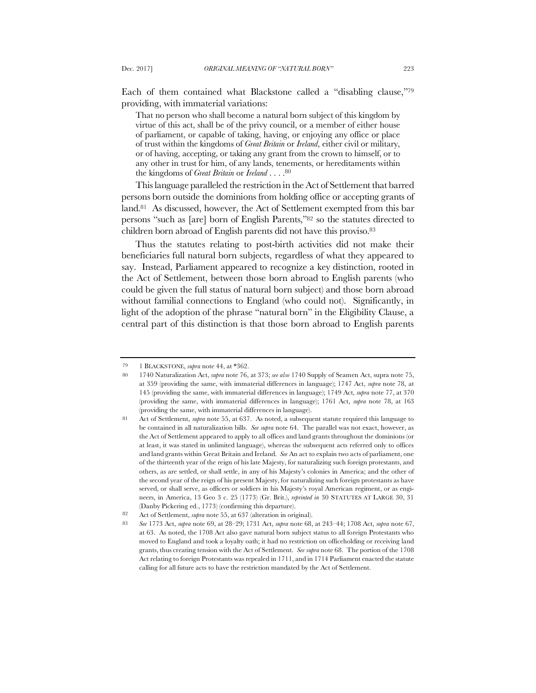Each of them contained what Blackstone called a "disabling clause,"79 providing, with immaterial variations:

That no person who shall become a natural born subject of this kingdom by virtue of this act, shall be of the privy council, or a member of either house of parliament, or capable of taking, having, or enjoying any office or place of trust within the kingdoms of *Great Britain* or *Ireland*, either civil or military, or of having, accepting, or taking any grant from the crown to himself, or to any other in trust for him, of any lands, tenements, or hereditaments within the kingdoms of *Great Britain* or *Ireland* . . . .80

This language paralleled the restriction in the Act of Settlement that barred persons born outside the dominions from holding office or accepting grants of land.81 As discussed, however, the Act of Settlement exempted from this bar persons "such as [are] born of English Parents,"82 so the statutes directed to children born abroad of English parents did not have this proviso.83

Thus the statutes relating to post-birth activities did not make their beneficiaries full natural born subjects, regardless of what they appeared to say. Instead, Parliament appeared to recognize a key distinction, rooted in the Act of Settlement, between those born abroad to English parents (who could be given the full status of natural born subject) and those born abroad without familial connections to England (who could not). Significantly, in light of the adoption of the phrase "natural born" in the Eligibility Clause, a central part of this distinction is that those born abroad to English parents

<sup>79</sup> 1 BLACKSTONE, *supra* note 44, at \*362.

<sup>80</sup> 1740 Naturalization Act, *supra* note 76, at 373; *see also* 1740 Supply of Seamen Act, supra note 75, at 359 (providing the same, with immaterial differences in language); 1747 Act, *supra* note 78, at 145 (providing the same, with immaterial differences in language); 1749 Act, *supra* note 77, at 370 (providing the same, with immaterial differences in language); 1761 Act, *supra* note 78, at 163 (providing the same, with immaterial differences in language).

<sup>81</sup> Act of Settlement, *supra* note 55, at 637. As noted, a subsequent statute required this language to be contained in all naturalization bills. *See supra* note 64. The parallel was not exact, however, as the Act of Settlement appeared to apply to all offices and land grants throughout the dominions (or at least, it was stated in unlimited language), whereas the subsequent acts referred only to offices and land grants within Great Britain and Ireland. *See* An act to explain two acts of parliament, one of the thirteenth year of the reign of his late Majesty, for naturalizing such foreign protestants, and others, as are settled, or shall settle, in any of his Majesty's colonies in America; and the other of the second year of the reign of his present Majesty, for naturalizing such foreign protestants as have served, or shall serve, as officers or soldiers in his Majesty's royal American regiment, or as engineers, in America, 13 Geo 3 c. 25 (1773) (Gr. Brit.), *reprinted in* 30 STATUTES AT LARGE 30, 31 (Danby Pickering ed., 1773) (confirming this departure).

<sup>82</sup> Act of Settlement, *supra* note 55, at 637 (alteration in original).

<sup>83</sup> *See* 1773 Act, *supra* note 69, at 28–29; 1731 Act, *supra* note 68, at 243–44; 1708 Act, *supra* note 67, at 63. As noted, the 1708 Act also gave natural born subject status to all foreign Protestants who moved to England and took a loyalty oath; it had no restriction on officeholding or receiving land grants, thus creating tension with the Act of Settlement. *See supra* note 68. The portion of the 1708 Act relating to foreign Protestants was repealed in 1711, and in 1714 Parliament enacted the statute calling for all future acts to have the restriction mandated by the Act of Settlement.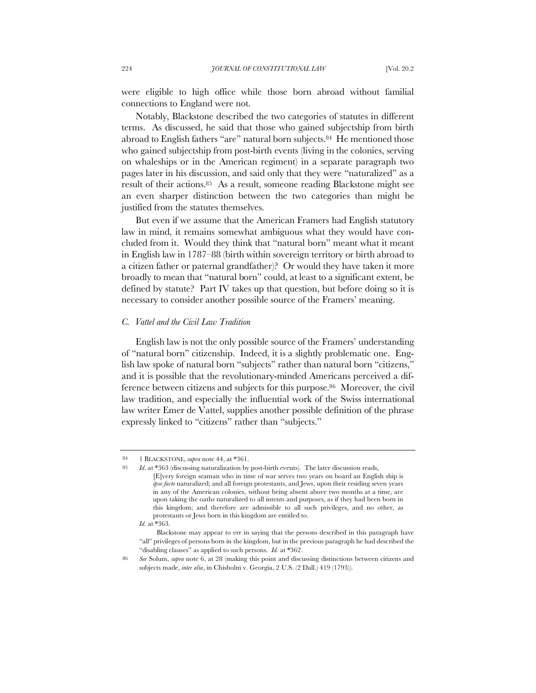were eligible to high office while those born abroad without familial connections to England were not.

Notably, Blackstone described the two categories of statutes in different terms. As discussed, he said that those who gained subjectship from birth abroad to English fathers "are" natural born subjects.<sup>84</sup> He mentioned those who gained subjectship from post-birth events (living in the colonies, serving on whaleships or in the American regiment) in a separate paragraph two pages later in his discussion, and said only that they were "naturalized" as a result of their actions.85 As a result, someone reading Blackstone might see an even sharper distinction between the two categories than might be justified from the statutes themselves.

But even if we assume that the American Framers had English statutory law in mind, it remains somewhat ambiguous what they would have concluded from it. Would they think that "natural born" meant what it meant in English law in 1787–88 (birth within sovereign territory or birth abroad to a citizen father or paternal grandfather)? Or would they have taken it more broadly to mean that "natural born" could, at least to a significant extent, be defined by statute? Part IV takes up that question, but before doing so it is necessary to consider another possible source of the Framers' meaning.

### *C. Vattel and the Civil Law Tradition*

English law is not the only possible source of the Framers' understanding of "natural born" citizenship. Indeed, it is a slightly problematic one. English law spoke of natural born "subjects" rather than natural born "citizens," and it is possible that the revolutionary-minded Americans perceived a difference between citizens and subjects for this purpose.86 Moreover, the civil law tradition, and especially the influential work of the Swiss international law writer Emer de Vattel, supplies another possible definition of the phrase expressly linked to "citizens" rather than "subjects."

<sup>84</sup> 1 BLACKSTONE, *supra* note 44, at \*361.

<sup>85</sup> *Id*. at \*363 (discussing naturalization by post-birth events). The later discussion reads, [E]very foreign seaman who in time of war serves two years on board an English ship is *ipso facto* naturalized; and all foreign protestants, and Jews, upon their residing seven years in any of the American colonies, without being absent above two months at a time, are upon taking the oaths naturalized to all intents and purposes, as if they had been born in this kingdom; and therefore are admissible to all such privileges, and no other, as protestants or Jews born in this kingdom are entitled to.

*Id.* at \*363.

Blackstone may appear to err in saying that the persons described in this paragraph have "all" privileges of persons born in the kingdom, but in the previous paragraph he had described the "disabling clauses" as applied to such persons. *Id.* at \*362.

<sup>86</sup> *See* Solum, *supra* note 6, at 28 (making this point and discussing distinctions between citizens and subjects made, *inter alia*, in Chisholm v. Georgia, 2 U.S. (2 Dall.) 419 (1793)).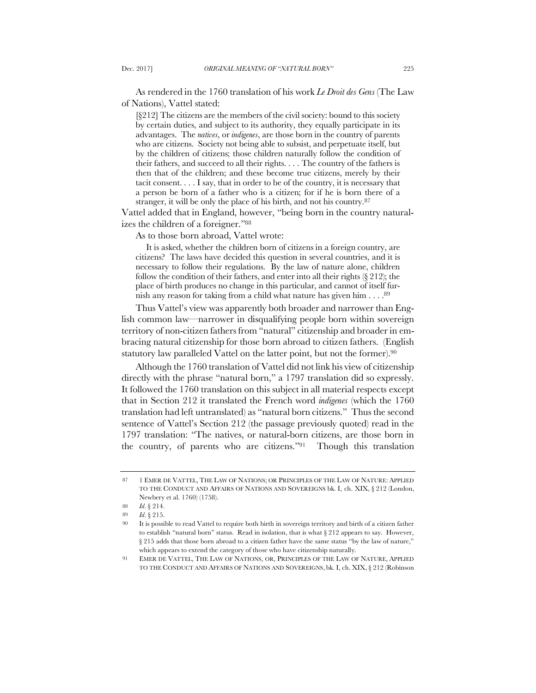As rendered in the 1760 translation of his work *Le Droit des Gens* (The Law of Nations), Vattel stated:

[§212] The citizens are the members of the civil society: bound to this society by certain duties, and subject to its authority, they equally participate in its advantages. The *natives*, or *indigenes*, are those born in the country of parents who are citizens. Society not being able to subsist, and perpetuate itself, but by the children of citizens; those children naturally follow the condition of their fathers, and succeed to all their rights. . . . The country of the fathers is then that of the children; and these become true citizens, merely by their tacit consent. . . . I say, that in order to be of the country, it is necessary that a person be born of a father who is a citizen; for if he is born there of a stranger, it will be only the place of his birth, and not his country.87

Vattel added that in England, however, "being born in the country naturalizes the children of a foreigner."88

As to those born abroad, Vattel wrote:

It is asked, whether the children born of citizens in a foreign country, are citizens? The laws have decided this question in several countries, and it is necessary to follow their regulations. By the law of nature alone, children follow the condition of their fathers, and enter into all their rights  $(\xi 212)$ ; the place of birth produces no change in this particular, and cannot of itself furnish any reason for taking from a child what nature has given him  $\dots$ .<sup>89</sup>

Thus Vattel's view was apparently both broader and narrower than English common law—narrower in disqualifying people born within sovereign territory of non-citizen fathers from "natural" citizenship and broader in embracing natural citizenship for those born abroad to citizen fathers. (English statutory law paralleled Vattel on the latter point, but not the former).90

Although the 1760 translation of Vattel did not link his view of citizenship directly with the phrase "natural born," a 1797 translation did so expressly. It followed the 1760 translation on this subject in all material respects except that in Section 212 it translated the French word *indigenes* (which the 1760 translation had left untranslated) as "natural born citizens." Thus the second sentence of Vattel's Section 212 (the passage previously quoted) read in the 1797 translation: "The natives, or natural-born citizens, are those born in the country, of parents who are citizens."91 Though this translation

<sup>87</sup> 1 EMER DE VATTEL, THE LAW OF NATIONS; OR PRINCIPLES OF THE LAW OF NATURE: APPLIED TO THE CONDUCT AND AFFAIRS OF NATIONS AND SOVEREIGNS bk. I, ch. XIX, § 212 (London, Newbery et al. 1760) (1758).

<sup>88</sup> *Id*. § 214.

<sup>89</sup> *Id*. § 215.

<sup>90</sup> It is possible to read Vattel to require both birth in sovereign territory and birth of a citizen father to establish "natural born" status. Read in isolation, that is what § 212 appears to say. However, § 215 adds that those born abroad to a citizen father have the same status "by the law of nature," which appears to extend the category of those who have citizenship naturally.

<sup>91</sup> EMER DE VATTEL, THE LAW OF NATIONS, OR, PRINCIPLES OF THE LAW OF NATURE, APPLIED TO THE CONDUCT AND AFFAIRS OF NATIONS AND SOVEREIGNS, bk. I, ch. XIX, § 212 (Robinson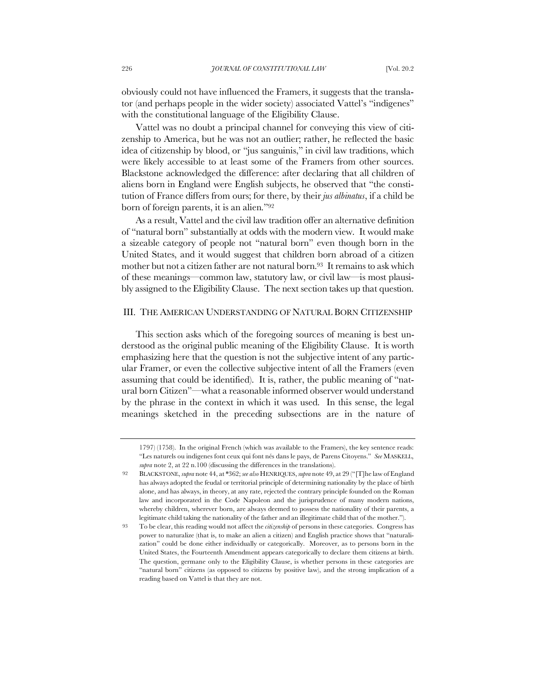obviously could not have influenced the Framers, it suggests that the translator (and perhaps people in the wider society) associated Vattel's "indigenes" with the constitutional language of the Eligibility Clause.

Vattel was no doubt a principal channel for conveying this view of citizenship to America, but he was not an outlier; rather, he reflected the basic idea of citizenship by blood, or "jus sanguinis," in civil law traditions, which were likely accessible to at least some of the Framers from other sources. Blackstone acknowledged the difference: after declaring that all children of aliens born in England were English subjects, he observed that "the constitution of France differs from ours; for there, by their *jus albinatus*, if a child be born of foreign parents, it is an alien."92

As a result, Vattel and the civil law tradition offer an alternative definition of "natural born" substantially at odds with the modern view. It would make a sizeable category of people not "natural born" even though born in the United States, and it would suggest that children born abroad of a citizen mother but not a citizen father are not natural born.<sup>93</sup> It remains to ask which of these meanings—common law, statutory law, or civil law—is most plausibly assigned to the Eligibility Clause. The next section takes up that question.

# III. THE AMERICAN UNDERSTANDING OF NATURAL BORN CITIZENSHIP

This section asks which of the foregoing sources of meaning is best understood as the original public meaning of the Eligibility Clause. It is worth emphasizing here that the question is not the subjective intent of any particular Framer, or even the collective subjective intent of all the Framers (even assuming that could be identified). It is, rather, the public meaning of "natural born Citizen"—what a reasonable informed observer would understand by the phrase in the context in which it was used. In this sense, the legal meanings sketched in the preceding subsections are in the nature of

<sup>1797) (1758).</sup> In the original French (which was available to the Framers), the key sentence reads: "Les naturels ou indigenes font ceux qui font nés dans le pays, de Parens Citoyens." *See* MASKELL, *supra* note 2, at 22 n.100 (discussing the differences in the translations).

<sup>92</sup> BLACKSTONE, *supra* note 44, at \*362; *see also* HENRIQUES,*supra* note 49, at 29 ("[T]he law of England has always adopted the feudal or territorial principle of determining nationality by the place of birth alone, and has always, in theory, at any rate, rejected the contrary principle founded on the Roman law and incorporated in the Code Napoleon and the jurisprudence of many modern nations, whereby children, wherever born, are always deemed to possess the nationality of their parents, a legitimate child taking the nationality of the father and an illegitimate child that of the mother.").

<sup>93</sup> To be clear, this reading would not affect the *citizenship* of persons in these categories. Congress has power to naturalize (that is, to make an alien a citizen) and English practice shows that "naturalization" could be done either individually or categorically. Moreover, as to persons born in the United States, the Fourteenth Amendment appears categorically to declare them citizens at birth. The question, germane only to the Eligibility Clause, is whether persons in these categories are "natural born" citizens (as opposed to citizens by positive law), and the strong implication of a reading based on Vattel is that they are not.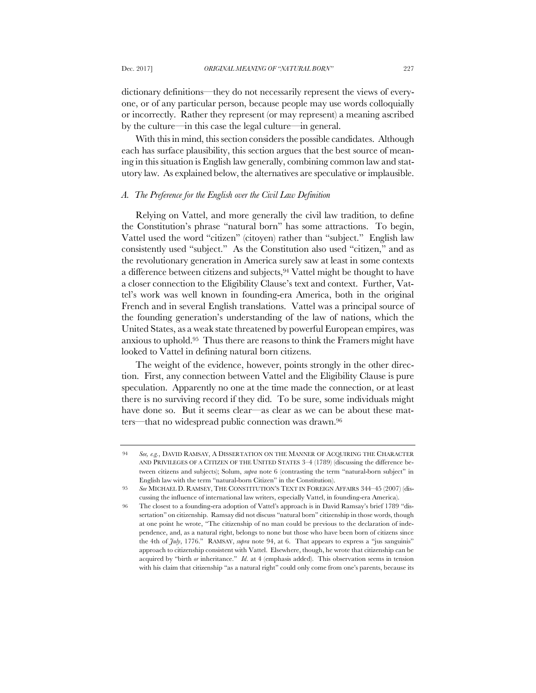dictionary definitions—they do not necessarily represent the views of everyone, or of any particular person, because people may use words colloquially or incorrectly. Rather they represent (or may represent) a meaning ascribed by the culture—in this case the legal culture—in general.

With this in mind, this section considers the possible candidates. Although each has surface plausibility, this section argues that the best source of meaning in this situation is English law generally, combining common law and statutory law. As explained below, the alternatives are speculative or implausible.

#### *A. The Preference for the English over the Civil Law Definition*

Relying on Vattel, and more generally the civil law tradition, to define the Constitution's phrase "natural born" has some attractions. To begin, Vattel used the word "citizen" (citoyen) rather than "subject." English law consistently used "subject." As the Constitution also used "citizen," and as the revolutionary generation in America surely saw at least in some contexts a difference between citizens and subjects,94 Vattel might be thought to have a closer connection to the Eligibility Clause's text and context. Further, Vattel's work was well known in founding-era America, both in the original French and in several English translations. Vattel was a principal source of the founding generation's understanding of the law of nations, which the United States, as a weak state threatened by powerful European empires, was anxious to uphold.95 Thus there are reasons to think the Framers might have looked to Vattel in defining natural born citizens.

The weight of the evidence, however, points strongly in the other direction. First, any connection between Vattel and the Eligibility Clause is pure speculation. Apparently no one at the time made the connection, or at least there is no surviving record if they did. To be sure, some individuals might have done so. But it seems clear—as clear as we can be about these matters—that no widespread public connection was drawn.96

<sup>94</sup> *See, e.g.*, DAVID RAMSAY, A DISSERTATION ON THE MANNER OF ACQUIRING THE CHARACTER AND PRIVILEGES OF A CITIZEN OF THE UNITED STATES 3–4 (1789) (discussing the difference between citizens and subjects); Solum, *supra* note 6 (contrasting the term "natural-born subject" in English law with the term "natural-born Citizen" in the Constitution).

<sup>95</sup> *See* MICHAEL D. RAMSEY, THE CONSTITUTION'S TEXT IN FOREIGN AFFAIRS 344–45 (2007) (discussing the influence of international law writers, especially Vattel, in founding-era America).

<sup>96</sup> The closest to a founding-era adoption of Vattel's approach is in David Ramsay's brief 1789 "dissertation" on citizenship. Ramsay did not discuss "natural born" citizenship in those words, though at one point he wrote, "The citizenship of no man could be previous to the declaration of independence, and, as a natural right, belongs to none but those who have been born of citizens since the 4th of *July*, 1776." RAMSAY, *supra* note 94, at 6. That appears to express a "jus sanguinis" approach to citizenship consistent with Vattel. Elsewhere, though, he wrote that citizenship can be acquired by "birth *or* inheritance." *Id*. at 4 (emphasis added). This observation seems in tension with his claim that citizenship "as a natural right" could only come from one's parents, because its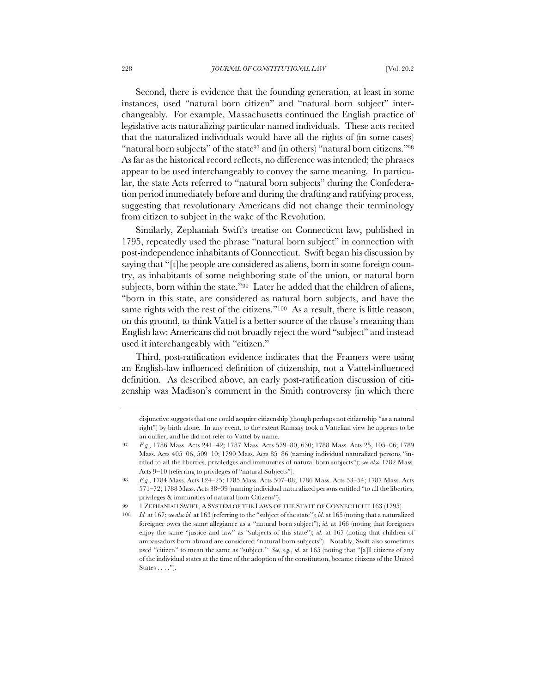Second, there is evidence that the founding generation, at least in some instances, used "natural born citizen" and "natural born subject" interchangeably. For example, Massachusetts continued the English practice of legislative acts naturalizing particular named individuals. These acts recited that the naturalized individuals would have all the rights of (in some cases) "natural born subjects" of the state<sup>97</sup> and (in others) "natural born citizens."<sup>98</sup> As far as the historical record reflects, no difference was intended; the phrases appear to be used interchangeably to convey the same meaning. In particular, the state Acts referred to "natural born subjects" during the Confederation period immediately before and during the drafting and ratifying process, suggesting that revolutionary Americans did not change their terminology from citizen to subject in the wake of the Revolution.

Similarly, Zephaniah Swift's treatise on Connecticut law, published in 1795, repeatedly used the phrase "natural born subject" in connection with post-independence inhabitants of Connecticut. Swift began his discussion by saying that "[t]he people are considered as aliens, born in some foreign country, as inhabitants of some neighboring state of the union, or natural born subjects, born within the state."99 Later he added that the children of aliens, "born in this state, are considered as natural born subjects, and have the same rights with the rest of the citizens."100 As a result, there is little reason, on this ground, to think Vattel is a better source of the clause's meaning than English law: Americans did not broadly reject the word "subject" and instead used it interchangeably with "citizen."

Third, post-ratification evidence indicates that the Framers were using an English-law influenced definition of citizenship, not a Vattel-influenced definition. As described above, an early post-ratification discussion of citizenship was Madison's comment in the Smith controversy (in which there

disjunctive suggests that one could acquire citizenship (though perhaps not citizenship "as a natural right") by birth alone. In any event, to the extent Ramsay took a Vattelian view he appears to be an outlier, and he did not refer to Vattel by name.

<sup>97</sup> *E.g.*, 1786 Mass. Acts 241–42; 1787 Mass. Acts 579–80, 630; 1788 Mass. Acts 25, 105–06; 1789 Mass. Acts 405–06, 509–10; 1790 Mass. Acts 85–86 (naming individual naturalized persons "intitled to all the liberties, priviledges and immunities of natural born subjects"); *see also* 1782 Mass. Acts 9–10 (referring to privileges of "natural Subjects").

<sup>98</sup> *E.g.*, 1784 Mass. Acts 124–25; 1785 Mass. Acts 507–08; 1786 Mass. Acts 53–54; 1787 Mass. Acts 571–72; 1788 Mass. Acts 38–39 (naming individual naturalized persons entitled "to all the liberties, privileges & immunities of natural born Citizens").

<sup>99</sup> 1 ZEPHANIAH SWIFT, A SYSTEM OF THE LAWS OF THE STATE OF CONNECTICUT 163 (1795).

<sup>100</sup> *Id.* at 167; *see also id.* at 163 (referring to the "subject of the state"); *id*. at 165 (noting that a naturalized foreigner owes the same allegiance as a "natural born subject"); *id*. at 166 (noting that foreigners enjoy the same "justice and law" as "subjects of this state"); *id*. at 167 (noting that children of ambassadors born abroad are considered "natural born subjects"). Notably, Swift also sometimes used "citizen" to mean the same as "subject." *See, e.g.*, *id.* at 165 (noting that "[a]ll citizens of any of the individual states at the time of the adoption of the constitution, became citizens of the United States  $\dots$ .").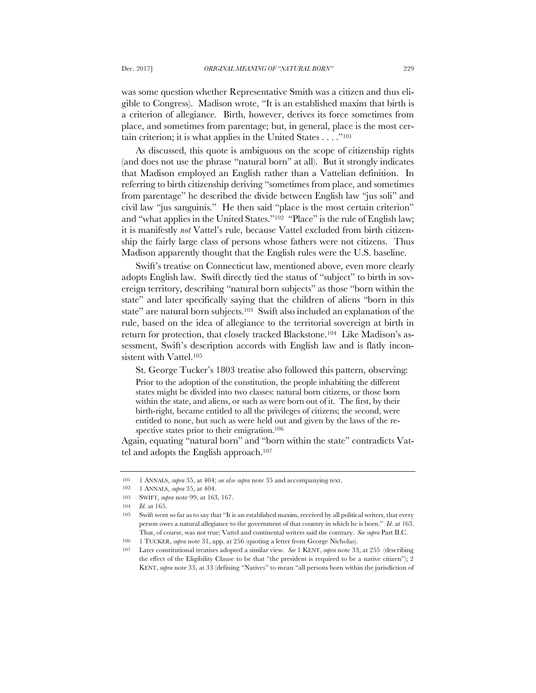was some question whether Representative Smith was a citizen and thus eligible to Congress). Madison wrote, "It is an established maxim that birth is a criterion of allegiance. Birth, however, derives its force sometimes from place, and sometimes from parentage; but, in general, place is the most certain criterion; it is what applies in the United States . . . ."101

As discussed, this quote is ambiguous on the scope of citizenship rights (and does not use the phrase "natural born" at all). But it strongly indicates that Madison employed an English rather than a Vattelian definition. In referring to birth citizenship deriving "sometimes from place, and sometimes from parentage" he described the divide between English law "jus soli" and civil law "jus sanguinis." He then said "place is the most certain criterion" and "what applies in the United States."102 "Place" is the rule of English law; it is manifestly *not* Vattel's rule, because Vattel excluded from birth citizenship the fairly large class of persons whose fathers were not citizens. Thus Madison apparently thought that the English rules were the U.S. baseline.

Swift's treatise on Connecticut law, mentioned above, even more clearly adopts English law. Swift directly tied the status of "subject" to birth in sovereign territory, describing "natural born subjects" as those "born within the state" and later specifically saying that the children of aliens "born in this state" are natural born subjects.<sup>103</sup> Swift also included an explanation of the rule, based on the idea of allegiance to the territorial sovereign at birth in return for protection, that closely tracked Blackstone.104 Like Madison's assessment, Swift's description accords with English law and is flatly inconsistent with Vattel.<sup>105</sup>

St. George Tucker's 1803 treatise also followed this pattern, observing:

Prior to the adoption of the constitution, the people inhabiting the different states might be divided into two classes: natural born citizens, or those born within the state, and aliens, or such as were born out of it. The first, by their birth-right, became entitled to all the privileges of citizens; the second, were entitled to none, but such as were held out and given by the laws of the respective states prior to their emigration.<sup>106</sup>

Again, equating "natural born" and "born within the state" contradicts Vattel and adopts the English approach.107

<sup>101</sup> 1 ANNALS, *supra* 35, at 404; *see also supra* note 35 and accompanying text.

<sup>102</sup> 1 ANNALS, *supra* 35, at 404.

<sup>103</sup> SWIFT, *supra* note 99, at 163, 167.

<sup>104</sup> *Id.* at 165.

<sup>105</sup> Swift went so far as to say that "It is an established maxim, received by all political writers, that every person owes a natural allegiance to the government of that country in which he is born." *Id*. at 163. That, of course, was not true; Vattel and continental writers said the contrary. *See supra* Part II.C.

<sup>106</sup> 1 TUCKER, *supra* note 31, app. at 256 (quoting a letter from George Nicholas).

<sup>107</sup> Later constitutional treatises adopted a similar view. *See* 1 KENT, *supra* note 33, at 255 (describing the effect of the Eligibility Clause to be that "the president is required to be a native citizen"); 2 KENT, *supra* note 33, at 33 (defining "Natives" to mean "all persons born within the jurisdiction of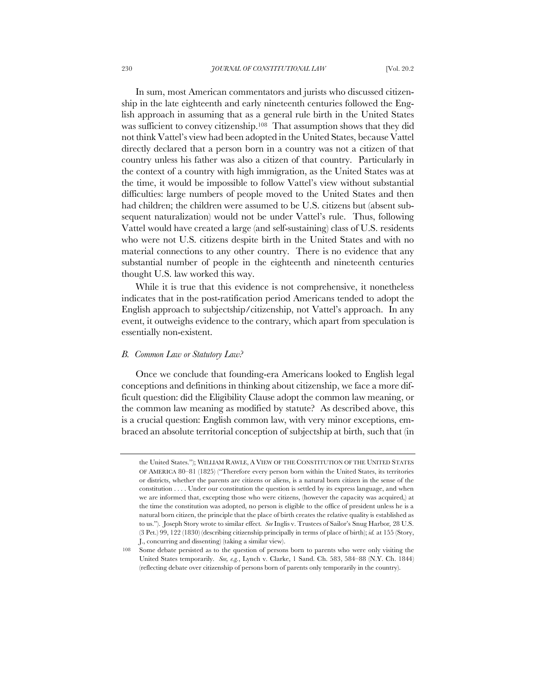In sum, most American commentators and jurists who discussed citizenship in the late eighteenth and early nineteenth centuries followed the English approach in assuming that as a general rule birth in the United States was sufficient to convey citizenship.108 That assumption shows that they did not think Vattel's view had been adopted in the United States, because Vattel directly declared that a person born in a country was not a citizen of that country unless his father was also a citizen of that country. Particularly in the context of a country with high immigration, as the United States was at the time, it would be impossible to follow Vattel's view without substantial difficulties: large numbers of people moved to the United States and then had children; the children were assumed to be U.S. citizens but (absent subsequent naturalization) would not be under Vattel's rule. Thus, following Vattel would have created a large (and self-sustaining) class of U.S. residents who were not U.S. citizens despite birth in the United States and with no material connections to any other country. There is no evidence that any substantial number of people in the eighteenth and nineteenth centuries thought U.S. law worked this way.

While it is true that this evidence is not comprehensive, it nonetheless indicates that in the post-ratification period Americans tended to adopt the English approach to subjectship/citizenship, not Vattel's approach. In any event, it outweighs evidence to the contrary, which apart from speculation is essentially non-existent.

### *B. Common Law or Statutory Law?*

Once we conclude that founding-era Americans looked to English legal conceptions and definitions in thinking about citizenship, we face a more difficult question: did the Eligibility Clause adopt the common law meaning, or the common law meaning as modified by statute? As described above, this is a crucial question: English common law, with very minor exceptions, embraced an absolute territorial conception of subjectship at birth, such that (in

the United States."); WILLIAM RAWLE, A VIEW OF THE CONSTITUTION OF THE UNITED STATES OF AMERICA 80–81 (1825) ("Therefore every person born within the United States, its territories or districts, whether the parents are citizens or aliens, is a natural born citizen in the sense of the constitution . . . . Under our constitution the question is settled by its express language, and when we are informed that, excepting those who were citizens, (however the capacity was acquired,) at the time the constitution was adopted, no person is eligible to the office of president unless he is a natural born citizen, the principle that the place of birth creates the relative quality is established as to us."). Joseph Story wrote to similar effect*. See* Inglis v. Trustees of Sailor's Snug Harbor*,* 28 U.S. (3 Pet.) 99, 122 (1830) (describing citizenship principally in terms of place of birth); *id.* at 155 (Story, J., concurring and dissenting) (taking a similar view).

Some debate persisted as to the question of persons born to parents who were only visiting the United States temporarily. *See, e.g.*, Lynch v. Clarke, 1 Sand. Ch. 583, 584–88 (N.Y. Ch. 1844) (reflecting debate over citizenship of persons born of parents only temporarily in the country).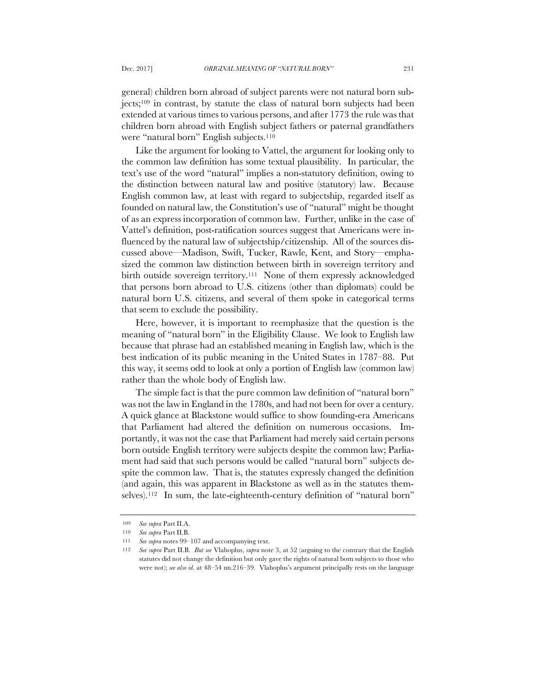general) children born abroad of subject parents were not natural born subjects;109 in contrast, by statute the class of natural born subjects had been extended at various times to various persons, and after 1773 the rule was that children born abroad with English subject fathers or paternal grandfathers were "natural born" English subjects.<sup>110</sup>

Like the argument for looking to Vattel, the argument for looking only to the common law definition has some textual plausibility. In particular, the text's use of the word "natural" implies a non-statutory definition, owing to the distinction between natural law and positive (statutory) law. Because English common law, at least with regard to subjectship, regarded itself as founded on natural law, the Constitution's use of "natural" might be thought of as an express incorporation of common law. Further, unlike in the case of Vattel's definition, post-ratification sources suggest that Americans were influenced by the natural law of subjectship/citizenship. All of the sources discussed above—Madison, Swift, Tucker, Rawle, Kent, and Story—emphasized the common law distinction between birth in sovereign territory and birth outside sovereign territory.111 None of them expressly acknowledged that persons born abroad to U.S. citizens (other than diplomats) could be natural born U.S. citizens, and several of them spoke in categorical terms that seem to exclude the possibility.

Here, however, it is important to reemphasize that the question is the meaning of "natural born" in the Eligibility Clause. We look to English law because that phrase had an established meaning in English law, which is the best indication of its public meaning in the United States in 1787–88. Put this way, it seems odd to look at only a portion of English law (common law) rather than the whole body of English law.

The simple fact is that the pure common law definition of "natural born" was not the law in England in the 1780s, and had not been for over a century. A quick glance at Blackstone would suffice to show founding-era Americans that Parliament had altered the definition on numerous occasions. Importantly, it was not the case that Parliament had merely said certain persons born outside English territory were subjects despite the common law; Parliament had said that such persons would be called "natural born" subjects despite the common law. That is, the statutes expressly changed the definition (and again, this was apparent in Blackstone as well as in the statutes themselves).<sup>112</sup> In sum, the late-eighteenth-century definition of "natural born"

<sup>109</sup> *See supra* Part II.A.

<sup>110</sup> *See supra* Part II.B.

<sup>111</sup> *See supra* notes 99–107 and accompanying text.

<sup>112</sup> *See supra* Part II.B. *But see* Vlahoplus, *supra* note 3, at 52 (arguing to the contrary that the English statutes did not change the definition but only gave the rights of natural born subjects to those who were not); *see also id.* at 48–54 nn.216–39. Vlahoplus's argument principally rests on the language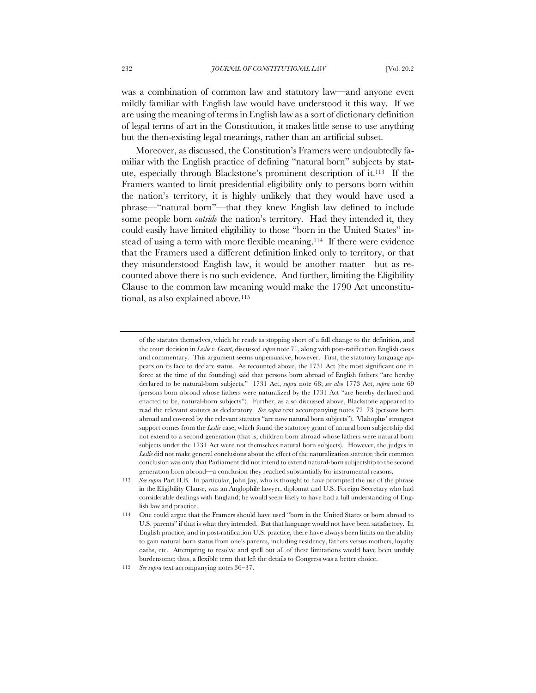was a combination of common law and statutory law—and anyone even mildly familiar with English law would have understood it this way. If we are using the meaning of terms in English law as a sort of dictionary definition of legal terms of art in the Constitution, it makes little sense to use anything but the then-existing legal meanings, rather than an artificial subset.

Moreover, as discussed, the Constitution's Framers were undoubtedly familiar with the English practice of defining "natural born" subjects by statute, especially through Blackstone's prominent description of it.113 If the Framers wanted to limit presidential eligibility only to persons born within the nation's territory, it is highly unlikely that they would have used a phrase—"natural born"—that they knew English law defined to include some people born *outside* the nation's territory. Had they intended it, they could easily have limited eligibility to those "born in the United States" instead of using a term with more flexible meaning.114 If there were evidence that the Framers used a different definition linked only to territory, or that they misunderstood English law, it would be another matter—but as recounted above there is no such evidence. And further, limiting the Eligibility Clause to the common law meaning would make the 1790 Act unconstitutional, as also explained above.<sup>115</sup>

of the statutes themselves, which he reads as stopping short of a full change to the definition, and the court decision in *Leslie v. Grant*, discussed *supra* note 71, along with post-ratification English cases and commentary. This argument seems unpersuasive, however. First, the statutory language appears on its face to declare status. As recounted above, the 1731 Act (the most significant one in force at the time of the founding) said that persons born abroad of English fathers "are hereby declared to be natural-born subjects." 1731 Act, *supra* note 68; *see also* 1773 Act, *supra* note 69 (persons born abroad whose fathers were naturalized by the 1731 Act "are hereby declared and enacted to be, natural-born subjects"). Further, as also discussed above, Blackstone appeared to read the relevant statutes as declaratory. *See supra* text accompanying notes 72–73 (persons born abroad and covered by the relevant statutes "are now natural born subjects"). Vlahoplus' strongest support comes from the *Leslie* case, which found the statutory grant of natural born subjectship did not extend to a second generation (that is, children born abroad whose fathers were natural born subjects under the 1731 Act were not themselves natural born subjects). However, the judges in *Leslie* did not make general conclusions about the effect of the naturalization statutes; their common conclusion was only that Parliament did not intend to extend natural-born subjectship to the second generation born abroad—a conclusion they reached substantially for instrumental reasons.

<sup>113</sup> *See supra* Part II.B. In particular, John Jay, who is thought to have prompted the use of the phrase in the Eligibility Clause, was an Anglophile lawyer, diplomat and U.S. Foreign Secretary who had considerable dealings with England; he would seem likely to have had a full understanding of English law and practice.

<sup>114</sup> One could argue that the Framers should have used "born in the United States or born abroad to U.S. parents" if that is what they intended. But that language would not have been satisfactory. In English practice, and in post-ratification U.S. practice, there have always been limits on the ability to gain natural born status from one's parents, including residency, fathers versus mothers, loyalty oaths, etc. Attempting to resolve and spell out all of these limitations would have been unduly burdensome; thus, a flexible term that left the details to Congress was a better choice.

<sup>115</sup> *See supra* text accompanying notes 36–37.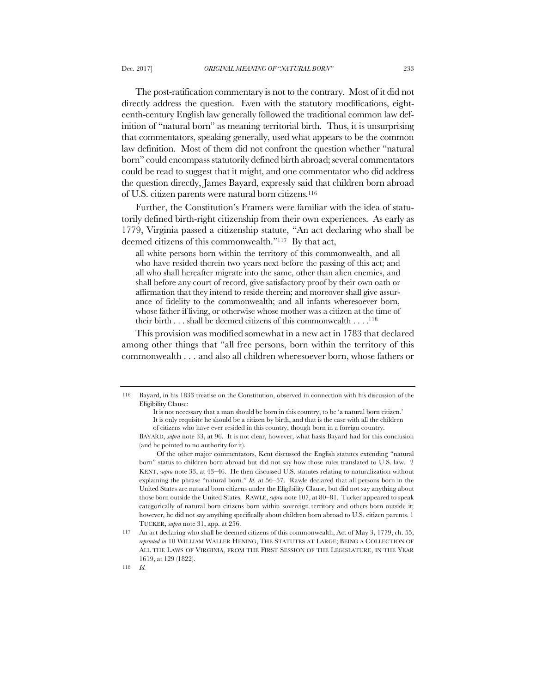The post-ratification commentary is not to the contrary. Most of it did not directly address the question. Even with the statutory modifications, eighteenth-century English law generally followed the traditional common law definition of "natural born" as meaning territorial birth. Thus, it is unsurprising that commentators, speaking generally, used what appears to be the common law definition. Most of them did not confront the question whether "natural born" could encompass statutorily defined birth abroad; several commentators could be read to suggest that it might, and one commentator who did address the question directly, James Bayard, expressly said that children born abroad

Further, the Constitution's Framers were familiar with the idea of statutorily defined birth-right citizenship from their own experiences. As early as 1779, Virginia passed a citizenship statute, "An act declaring who shall be deemed citizens of this commonwealth."117 By that act,

of U.S. citizen parents were natural born citizens.116

all white persons born within the territory of this commonwealth, and all who have resided therein two years next before the passing of this act; and all who shall hereafter migrate into the same, other than alien enemies, and shall before any court of record, give satisfactory proof by their own oath or affirmation that they intend to reside therein; and moreover shall give assurance of fidelity to the commonwealth; and all infants wheresoever born, whose father if living, or otherwise whose mother was a citizen at the time of their birth  $\dots$  shall be deemed citizens of this commonwealth  $\dots$ .<sup>118</sup>

This provision was modified somewhat in a new act in 1783 that declared among other things that "all free persons, born within the territory of this commonwealth . . . and also all children wheresoever born, whose fathers or

<sup>116</sup> Bayard, in his 1833 treatise on the Constitution, observed in connection with his discussion of the Eligibility Clause:

It is not necessary that a man should be born in this country, to be 'a natural born citizen.' It is only requisite he should be a citizen by birth, and that is the case with all the children of citizens who have ever resided in this country, though born in a foreign country.

BAYARD, *supra* note 33, at 96. It is not clear, however, what basis Bayard had for this conclusion (and he pointed to no authority for it).

Of the other major commentators, Kent discussed the English statutes extending "natural born" status to children born abroad but did not say how those rules translated to U.S. law. 2 KENT, *supra* note 33, at 43–46. He then discussed U.S. statutes relating to naturalization without explaining the phrase "natural born." *Id.* at 56–57. Rawle declared that all persons born in the United States are natural born citizens under the Eligibility Clause, but did not say anything about those born outside the United States. RAWLE, *supra* note 107, at 80–81. Tucker appeared to speak categorically of natural born citizens born within sovereign territory and others born outside it; however, he did not say anything specifically about children born abroad to U.S. citizen parents. 1 TUCKER, *supra* note 31, app. at 256.

<sup>117</sup> An act declaring who shall be deemed citizens of this commonwealth, Act of May 3, 1779, ch. 55, *reprinted in* 10 WILLIAM WALLER HENING, THE STATUTES AT LARGE; BEING A COLLECTION OF ALL THE LAWS OF VIRGINIA, FROM THE FIRST SESSION OF THE LEGISLATURE, IN THE YEAR 1619, at 129 (1822).

<sup>118</sup> *Id.*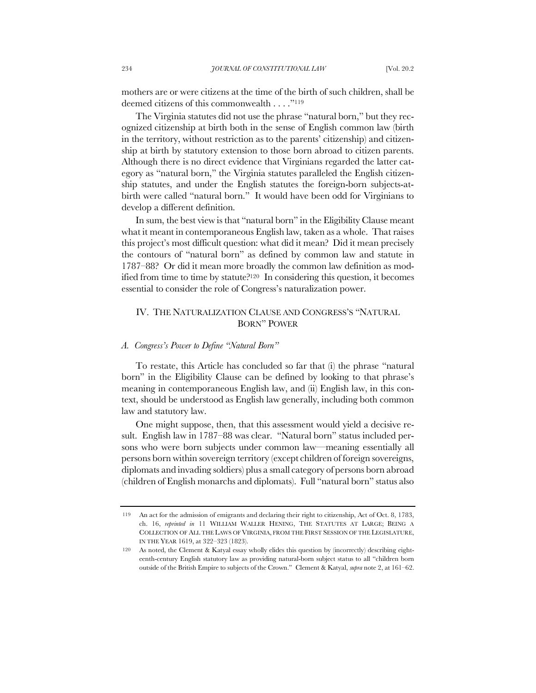mothers are or were citizens at the time of the birth of such children, shall be deemed citizens of this commonwealth . . . ."119

The Virginia statutes did not use the phrase "natural born," but they recognized citizenship at birth both in the sense of English common law (birth in the territory, without restriction as to the parents' citizenship) and citizenship at birth by statutory extension to those born abroad to citizen parents. Although there is no direct evidence that Virginians regarded the latter category as "natural born," the Virginia statutes paralleled the English citizenship statutes, and under the English statutes the foreign-born subjects-atbirth were called "natural born." It would have been odd for Virginians to develop a different definition.

In sum, the best view is that "natural born" in the Eligibility Clause meant what it meant in contemporaneous English law, taken as a whole. That raises this project's most difficult question: what did it mean? Did it mean precisely the contours of "natural born" as defined by common law and statute in 1787–88? Or did it mean more broadly the common law definition as modified from time to time by statute?120 In considering this question, it becomes essential to consider the role of Congress's naturalization power.

# IV. THE NATURALIZATION CLAUSE AND CONGRESS'S "NATURAL BORN" POWER

## *A. Congress's Power to Define "Natural Born"*

To restate, this Article has concluded so far that (i) the phrase "natural born" in the Eligibility Clause can be defined by looking to that phrase's meaning in contemporaneous English law, and (ii) English law, in this context, should be understood as English law generally, including both common law and statutory law.

One might suppose, then, that this assessment would yield a decisive result. English law in 1787–88 was clear. "Natural born" status included persons who were born subjects under common law—meaning essentially all persons born within sovereign territory (except children of foreign sovereigns, diplomats and invading soldiers) plus a small category of persons born abroad (children of English monarchs and diplomats). Full "natural born" status also

<sup>119</sup> An act for the admission of emigrants and declaring their right to citizenship, Act of Oct. 8, 1783, ch. 16, *reprinted in* 11 WILLIAM WALLER HENING, THE STATUTES AT LARGE; BEING A COLLECTION OF ALL THE LAWS OF VIRGINIA, FROM THE FIRST SESSION OF THE LEGISLATURE, IN THE YEAR 1619, at 322–323 (1823).

As noted, the Clement & Katyal essay wholly elides this question by (incorrectly) describing eighteenth-century English statutory law as providing natural-born subject status to all "children born outside of the British Empire to subjects of the Crown." Clement & Katyal, *supra* note 2, at 161–62.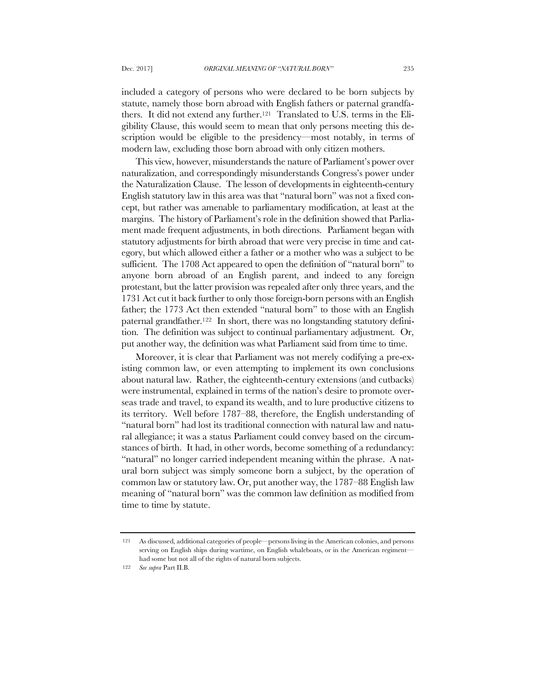included a category of persons who were declared to be born subjects by statute, namely those born abroad with English fathers or paternal grandfathers. It did not extend any further.121 Translated to U.S. terms in the Eligibility Clause, this would seem to mean that only persons meeting this description would be eligible to the presidency—most notably, in terms of modern law, excluding those born abroad with only citizen mothers.

This view, however, misunderstands the nature of Parliament's power over naturalization, and correspondingly misunderstands Congress's power under the Naturalization Clause. The lesson of developments in eighteenth-century English statutory law in this area was that "natural born" was not a fixed concept, but rather was amenable to parliamentary modification, at least at the margins. The history of Parliament's role in the definition showed that Parliament made frequent adjustments, in both directions. Parliament began with statutory adjustments for birth abroad that were very precise in time and category, but which allowed either a father or a mother who was a subject to be sufficient. The 1708 Act appeared to open the definition of "natural born" to anyone born abroad of an English parent, and indeed to any foreign protestant, but the latter provision was repealed after only three years, and the 1731 Act cut it back further to only those foreign-born persons with an English father; the 1773 Act then extended "natural born" to those with an English paternal grandfather.122 In short, there was no longstanding statutory definition. The definition was subject to continual parliamentary adjustment. Or, put another way, the definition was what Parliament said from time to time.

Moreover, it is clear that Parliament was not merely codifying a pre-existing common law, or even attempting to implement its own conclusions about natural law. Rather, the eighteenth-century extensions (and cutbacks) were instrumental, explained in terms of the nation's desire to promote overseas trade and travel, to expand its wealth, and to lure productive citizens to its territory. Well before 1787–88, therefore, the English understanding of "natural born" had lost its traditional connection with natural law and natural allegiance; it was a status Parliament could convey based on the circumstances of birth. It had, in other words, become something of a redundancy: "natural" no longer carried independent meaning within the phrase. A natural born subject was simply someone born a subject, by the operation of common law or statutory law. Or, put another way, the 1787–88 English law meaning of "natural born" was the common law definition as modified from time to time by statute.

<sup>121</sup> As discussed, additional categories of people—persons living in the American colonies, and persons serving on English ships during wartime, on English whaleboats, or in the American regiment had some but not all of the rights of natural born subjects.

<sup>122</sup> *See supra* Part II.B.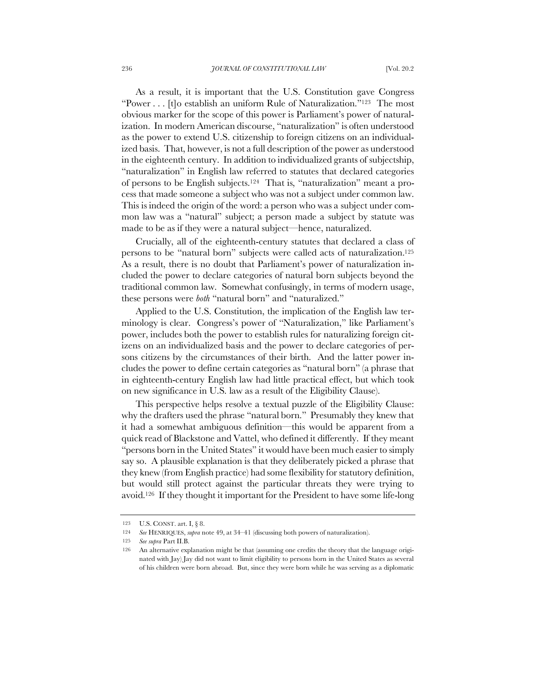As a result, it is important that the U.S. Constitution gave Congress "Power . . . [t]o establish an uniform Rule of Naturalization."123 The most obvious marker for the scope of this power is Parliament's power of naturalization. In modern American discourse, "naturalization" is often understood as the power to extend U.S. citizenship to foreign citizens on an individualized basis. That, however, is not a full description of the power as understood in the eighteenth century. In addition to individualized grants of subjectship, "naturalization" in English law referred to statutes that declared categories of persons to be English subjects.124 That is, "naturalization" meant a process that made someone a subject who was not a subject under common law. This is indeed the origin of the word: a person who was a subject under common law was a "natural" subject; a person made a subject by statute was made to be as if they were a natural subject—hence, naturalized.

Crucially, all of the eighteenth-century statutes that declared a class of persons to be "natural born" subjects were called acts of naturalization.125 As a result, there is no doubt that Parliament's power of naturalization included the power to declare categories of natural born subjects beyond the traditional common law. Somewhat confusingly, in terms of modern usage, these persons were *both* "natural born" and "naturalized."

Applied to the U.S. Constitution, the implication of the English law terminology is clear. Congress's power of "Naturalization," like Parliament's power, includes both the power to establish rules for naturalizing foreign citizens on an individualized basis and the power to declare categories of persons citizens by the circumstances of their birth. And the latter power includes the power to define certain categories as "natural born" (a phrase that in eighteenth-century English law had little practical effect, but which took on new significance in U.S. law as a result of the Eligibility Clause).

This perspective helps resolve a textual puzzle of the Eligibility Clause: why the drafters used the phrase "natural born." Presumably they knew that it had a somewhat ambiguous definition—this would be apparent from a quick read of Blackstone and Vattel, who defined it differently. If they meant "persons born in the United States" it would have been much easier to simply say so. A plausible explanation is that they deliberately picked a phrase that they knew (from English practice) had some flexibility for statutory definition, but would still protect against the particular threats they were trying to avoid.126 If they thought it important for the President to have some life-long

<sup>123</sup> U.S. CONST. art. I, § 8.

<sup>124</sup> *See* HENRIQUES, *supra* note 49, at 34–41 (discussing both powers of naturalization).

<sup>125</sup> *See supra* Part II.B.

<sup>126</sup> An alternative explanation might be that (assuming one credits the theory that the language originated with Jay) Jay did not want to limit eligibility to persons born in the United States as several of his children were born abroad. But, since they were born while he was serving as a diplomatic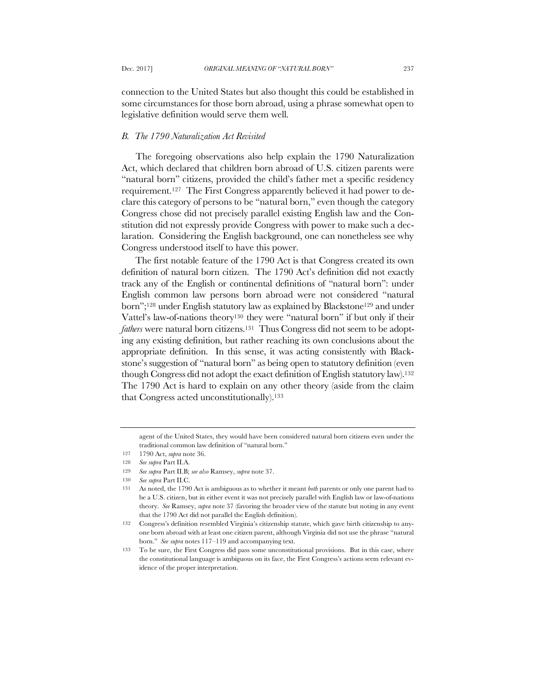connection to the United States but also thought this could be established in some circumstances for those born abroad, using a phrase somewhat open to legislative definition would serve them well.

#### *B. The 1790 Naturalization Act Revisited*

The foregoing observations also help explain the 1790 Naturalization Act, which declared that children born abroad of U.S. citizen parents were "natural born" citizens, provided the child's father met a specific residency requirement.127 The First Congress apparently believed it had power to declare this category of persons to be "natural born," even though the category Congress chose did not precisely parallel existing English law and the Constitution did not expressly provide Congress with power to make such a declaration. Considering the English background, one can nonetheless see why Congress understood itself to have this power.

The first notable feature of the 1790 Act is that Congress created its own definition of natural born citizen. The 1790 Act's definition did not exactly track any of the English or continental definitions of "natural born": under English common law persons born abroad were not considered "natural born";<sup>128</sup> under English statutory law as explained by Blackstone<sup>129</sup> and under Vattel's law-of-nations theory130 they were "natural born" if but only if their *fathers* were natural born citizens.<sup>131</sup> Thus Congress did not seem to be adopting any existing definition, but rather reaching its own conclusions about the appropriate definition. In this sense, it was acting consistently with Blackstone's suggestion of "natural born" as being open to statutory definition (even though Congress did not adopt the exact definition of English statutory law).132 The 1790 Act is hard to explain on any other theory (aside from the claim that Congress acted unconstitutionally).133

agent of the United States, they would have been considered natural born citizens even under the traditional common law definition of "natural born."

<sup>127</sup> 1790 Act, *supra* note 36.

<sup>128</sup> *See supra* Part II.A.

<sup>129</sup> *See supra* Part II.B; *see also* Ramsey, *supra* note 37.

<sup>130</sup> *See supra* Part II.C.

<sup>131</sup> As noted, the 1790 Act is ambiguous as to whether it meant *both* parents or only one parent had to be a U.S. citizen, but in either event it was not precisely parallel with English law or law-of-nations theory. *See* Ramsey, *supra* note 37 (favoring the broader view of the statute but noting in any event that the 1790 Act did not parallel the English definition).

<sup>132</sup> Congress's definition resembled Virginia's citizenship statute, which gave birth citizenship to anyone born abroad with at least one citizen parent, although Virginia did not use the phrase "natural born." *See supra* notes 117–119 and accompanying text.

<sup>133</sup> To be sure, the First Congress did pass some unconstitutional provisions. But in this case, where the constitutional language is ambiguous on its face, the First Congress's actions seem relevant evidence of the proper interpretation.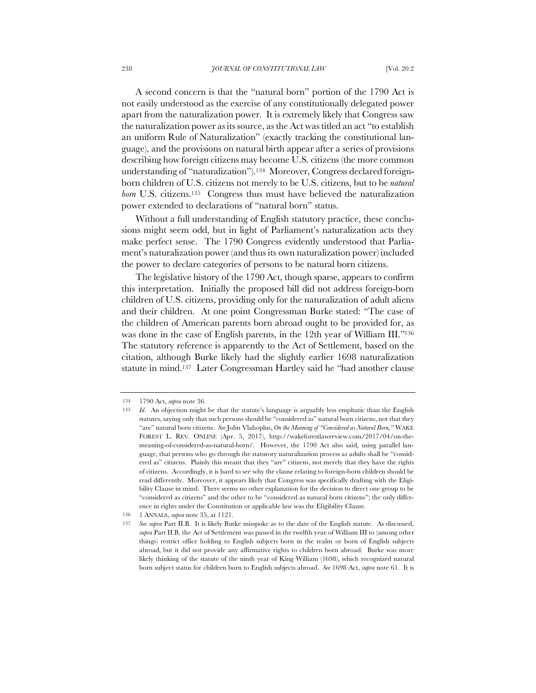A second concern is that the "natural born" portion of the 1790 Act is not easily understood as the exercise of any constitutionally delegated power apart from the naturalization power. It is extremely likely that Congress saw the naturalization power as its source, as the Act was titled an act "to establish an uniform Rule of Naturalization" (exactly tracking the constitutional language), and the provisions on natural birth appear after a series of provisions describing how foreign citizens may become U.S. citizens (the more common understanding of "naturalization").134 Moreover, Congress declared foreignborn children of U.S. citizens not merely to be U.S. citizens, but to be *natural born* U.S. citizens.135 Congress thus must have believed the naturalization power extended to declarations of "natural born" status.

Without a full understanding of English statutory practice, these conclusions might seem odd, but in light of Parliament's naturalization acts they make perfect sense. The 1790 Congress evidently understood that Parliament's naturalization power (and thus its own naturalization power) included the power to declare categories of persons to be natural born citizens.

The legislative history of the 1790 Act, though sparse, appears to confirm this interpretation. Initially the proposed bill did not address foreign-born children of U.S. citizens, providing only for the naturalization of adult aliens and their children. At one point Congressman Burke stated: "The case of the children of American parents born abroad ought to be provided for, as was done in the case of English parents, in the 12th year of William III."<sup>136</sup> The statutory reference is apparently to the Act of Settlement, based on the citation, although Burke likely had the slightly earlier 1698 naturalization statute in mind.137 Later Congressman Hartley said he "had another clause

<sup>134</sup> 1790 Act, *supra* note 36.

<sup>135</sup> *Id*. An objection might be that the statute's language is arguably less emphatic than the English statutes, saying only that such persons should be "considered as" natural born citizens, not that they "are" natural born citizens. *See* John Vlahoplus, *On the Meaning of "Considered as Natural Born,"* WAKE FOREST L. REV. ONLINE (Apr. 5, 2017), http://wakeforestlawreview.com/2017/04/on-themeaning-of-considered-as-natural-born/. However, the 1790 Act also said, using parallel language, that persons who go through the statutory naturalization process as adults shall be "considered as" citizens. Plainly this meant that they "are" citizens, not merely that they have the rights of citizens. Accordingly, it is hard to see why the clause relating to foreign-born children should be read differently. Moreover, it appears likely that Congress was specifically drafting with the Eligibility Clause in mind. There seems no other explanation for the decision to direct one group to be "considered as citizens" and the other to be "considered as natural born citizens"; the only difference in rights under the Constitution or applicable law was the Eligibility Clause.

<sup>136</sup> 1 ANNALS, *supra* note 35, at 1121.

<sup>137</sup> *See supra* Part II.B. It is likely Burke misspoke as to the date of the English statute. As discussed, *supra* Part II.B, the Act of Settlement was passed in the twelfth year of William III to (among other things) restrict office holding to English subjects born in the realm or born of English subjects abroad, but it did not provide any affirmative rights to children born abroad. Burke was more likely thinking of the statute of the ninth year of King William (1698), which recognized natural born subject status for children born to English subjects abroad. *See* 1698 Act, *supra* note 61. It is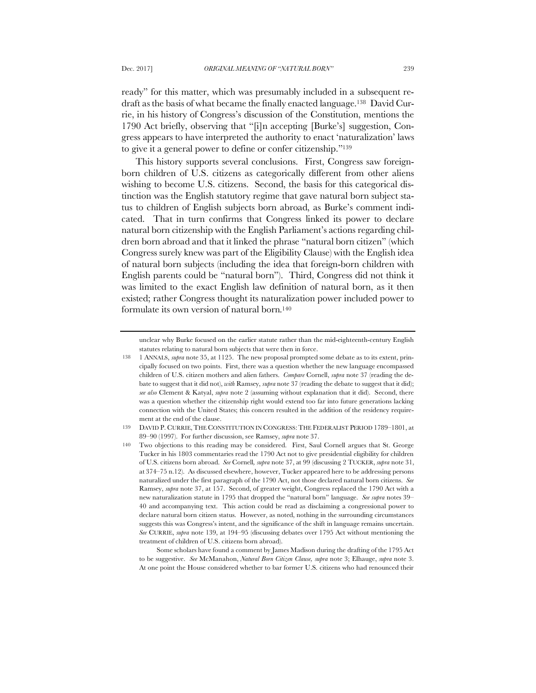ready" for this matter, which was presumably included in a subsequent redraft as the basis of what became the finally enacted language.138 David Currie, in his history of Congress's discussion of the Constitution, mentions the 1790 Act briefly, observing that "[i]n accepting [Burke's] suggestion, Congress appears to have interpreted the authority to enact 'naturalization' laws to give it a general power to define or confer citizenship."139

This history supports several conclusions. First, Congress saw foreignborn children of U.S. citizens as categorically different from other aliens wishing to become U.S. citizens. Second, the basis for this categorical distinction was the English statutory regime that gave natural born subject status to children of English subjects born abroad, as Burke's comment indicated. That in turn confirms that Congress linked its power to declare natural born citizenship with the English Parliament's actions regarding children born abroad and that it linked the phrase "natural born citizen" (which Congress surely knew was part of the Eligibility Clause) with the English idea of natural born subjects (including the idea that foreign-born children with English parents could be "natural born"). Third, Congress did not think it was limited to the exact English law definition of natural born, as it then existed; rather Congress thought its naturalization power included power to formulate its own version of natural born.140

Some scholars have found a comment by James Madison during the drafting of the 1795 Act to be suggestive. *See* McManahon, *Natural Born Citizen Clause, supra* note 3; Elhauge, *supra* note 3. At one point the House considered whether to bar former U.S. citizens who had renounced their

unclear why Burke focused on the earlier statute rather than the mid-eighteenth-century English statutes relating to natural born subjects that were then in force.

<sup>138</sup> 1 ANNALS, *supra* note 35, at 1125. The new proposal prompted some debate as to its extent, principally focused on two points. First, there was a question whether the new language encompassed children of U.S. citizen mothers and alien fathers. *Compare* Cornell, *supra* note 37 (reading the debate to suggest that it did not), *with* Ramsey, *supra* note 37 (reading the debate to suggest that it did); *see also* Clement & Katyal, *supra* note 2 (assuming without explanation that it did). Second, there was a question whether the citizenship right would extend too far into future generations lacking connection with the United States; this concern resulted in the addition of the residency requirement at the end of the clause.

<sup>139</sup> DAVID P. CURRIE,THE CONSTITUTION IN CONGRESS:THE FEDERALIST PERIOD 1789–1801, at 89–90 (1997). For further discussion, see Ramsey, *supra* note 37.

<sup>140</sup> Two objections to this reading may be considered. First, Saul Cornell argues that St. George Tucker in his 1803 commentaries read the 1790 Act not to give presidential eligibility for children of U.S. citizens born abroad. *See* Cornell*, supra* note 37, at 99 (discussing 2 TUCKER, *supra* note 31, at 374–75 n.12). As discussed elsewhere, however, Tucker appeared here to be addressing persons naturalized under the first paragraph of the 1790 Act, not those declared natural born citizens. *See* Ramsey, *supra* note 37, at 157. Second, of greater weight, Congress replaced the 1790 Act with a new naturalization statute in 1795 that dropped the "natural born" language. *See supra* notes 39– 40 and accompanying text. This action could be read as disclaiming a congressional power to declare natural born citizen status. However, as noted, nothing in the surrounding circumstances suggests this was Congress's intent, and the significance of the shift in language remains uncertain. *See* CURRIE, *supra* note 139, at 194–95 (discussing debates over 1795 Act without mentioning the treatment of children of U.S. citizens born abroad).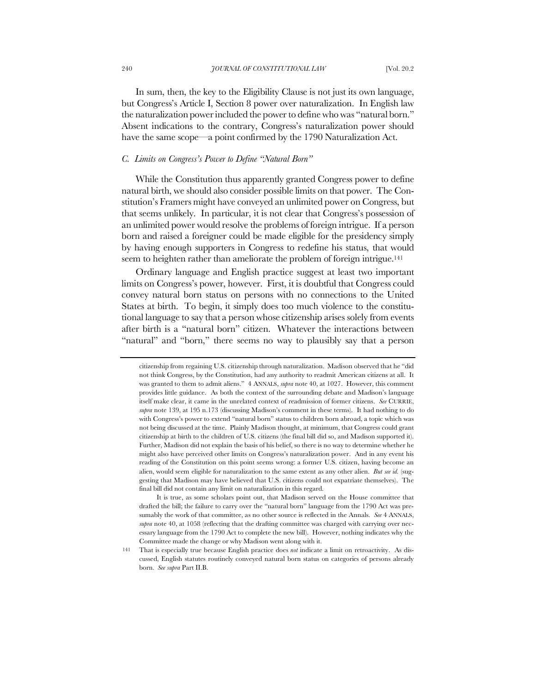In sum, then, the key to the Eligibility Clause is not just its own language, but Congress's Article I, Section 8 power over naturalization. In English law the naturalization power included the power to define who was "natural born." Absent indications to the contrary, Congress's naturalization power should have the same scope—a point confirmed by the 1790 Naturalization Act.

# *C. Limits on Congress's Power to Define "Natural Born"*

While the Constitution thus apparently granted Congress power to define natural birth, we should also consider possible limits on that power. The Constitution's Framers might have conveyed an unlimited power on Congress, but that seems unlikely. In particular, it is not clear that Congress's possession of an unlimited power would resolve the problems of foreign intrigue. If a person born and raised a foreigner could be made eligible for the presidency simply by having enough supporters in Congress to redefine his status, that would seem to heighten rather than ameliorate the problem of foreign intrigue.<sup>141</sup>

Ordinary language and English practice suggest at least two important limits on Congress's power, however. First, it is doubtful that Congress could convey natural born status on persons with no connections to the United States at birth. To begin, it simply does too much violence to the constitutional language to say that a person whose citizenship arises solely from events after birth is a "natural born" citizen. Whatever the interactions between "natural" and "born," there seems no way to plausibly say that a person

citizenship from regaining U.S. citizenship through naturalization. Madison observed that he "did not think Congress, by the Constitution, had any authority to readmit American citizens at all. It was granted to them to admit aliens." 4 ANNALS, *supra* note 40, at 1027. However, this comment provides little guidance. As both the context of the surrounding debate and Madison's language itself make clear, it came in the unrelated context of readmission of former citizens. *See* CURRIE, *supra* note 139, at 195 n.173 (discussing Madison's comment in these terms). It had nothing to do with Congress's power to extend "natural born" status to children born abroad, a topic which was not being discussed at the time. Plainly Madison thought, at minimum, that Congress could grant citizenship at birth to the children of U.S. citizens (the final bill did so, and Madison supported it). Further, Madison did not explain the basis of his belief, so there is no way to determine whether he might also have perceived other limits on Congress's naturalization power. And in any event his reading of the Constitution on this point seems wrong: a former U.S. citizen, having become an alien, would seem eligible for naturalization to the same extent as any other alien. *But see id.* (suggesting that Madison may have believed that U.S. citizens could not expatriate themselves). The final bill did not contain any limit on naturalization in this regard.

It is true, as some scholars point out, that Madison served on the House committee that drafted the bill; the failure to carry over the "natural born" language from the 1790 Act was presumably the work of that committee, as no other source is reflected in the Annals. *See* 4 ANNALS, *supra* note 40, at 1058 (reflecting that the drafting committee was charged with carrying over necessary language from the 1790 Act to complete the new bill). However, nothing indicates why the Committee made the change or why Madison went along with it.

<sup>141</sup> That is especially true because English practice does *not* indicate a limit on retroactivity. As discussed, English statutes routinely conveyed natural born status on categories of persons already born. *See supra* Part II.B.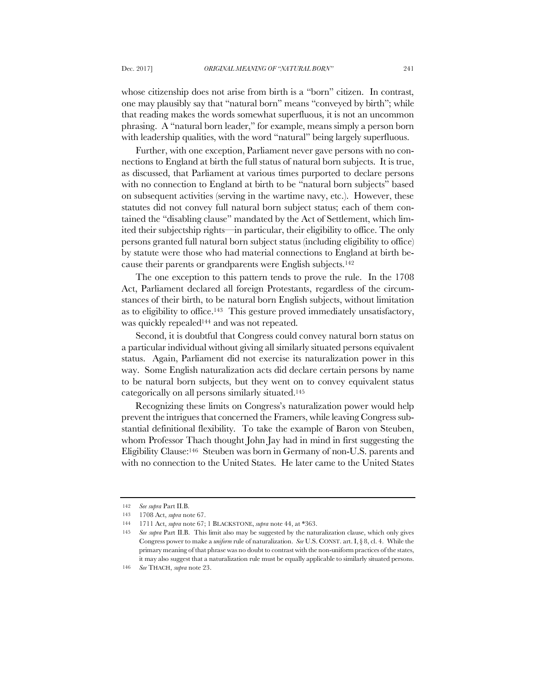whose citizenship does not arise from birth is a "born" citizen. In contrast, one may plausibly say that "natural born" means "conveyed by birth"; while that reading makes the words somewhat superfluous, it is not an uncommon phrasing. A "natural born leader," for example, means simply a person born with leadership qualities, with the word "natural" being largely superfluous.

Further, with one exception, Parliament never gave persons with no connections to England at birth the full status of natural born subjects. It is true, as discussed, that Parliament at various times purported to declare persons with no connection to England at birth to be "natural born subjects" based on subsequent activities (serving in the wartime navy, etc.). However, these statutes did not convey full natural born subject status; each of them contained the "disabling clause" mandated by the Act of Settlement, which limited their subjectship rights—in particular, their eligibility to office. The only persons granted full natural born subject status (including eligibility to office) by statute were those who had material connections to England at birth because their parents or grandparents were English subjects.142

The one exception to this pattern tends to prove the rule. In the 1708 Act, Parliament declared all foreign Protestants, regardless of the circumstances of their birth, to be natural born English subjects, without limitation as to eligibility to office.143 This gesture proved immediately unsatisfactory, was quickly repealed<sup>144</sup> and was not repeated.

Second, it is doubtful that Congress could convey natural born status on a particular individual without giving all similarly situated persons equivalent status. Again, Parliament did not exercise its naturalization power in this way. Some English naturalization acts did declare certain persons by name to be natural born subjects, but they went on to convey equivalent status categorically on all persons similarly situated.145

Recognizing these limits on Congress's naturalization power would help prevent the intrigues that concerned the Framers, while leaving Congress substantial definitional flexibility. To take the example of Baron von Steuben, whom Professor Thach thought John Jay had in mind in first suggesting the Eligibility Clause:146 Steuben was born in Germany of non-U.S. parents and with no connection to the United States. He later came to the United States

<sup>142</sup> *See supra* Part II.B.

<sup>143</sup> 1708 Act, *supra* note 67.

<sup>144</sup> 1711 Act, *supra* note 67; 1 BLACKSTONE, *supra* note 44, at \*363.

<sup>145</sup> *See supra* Part II.B. This limit also may be suggested by the naturalization clause, which only gives Congress power to make a *uniform* rule of naturalization. *See* U.S. CONST. art. I, § 8, cl. 4. While the primary meaning of that phrase was no doubt to contrast with the non-uniform practices of the states, it may also suggest that a naturalization rule must be equally applicable to similarly situated persons.

<sup>146</sup> *See* THACH, *supra* note 23.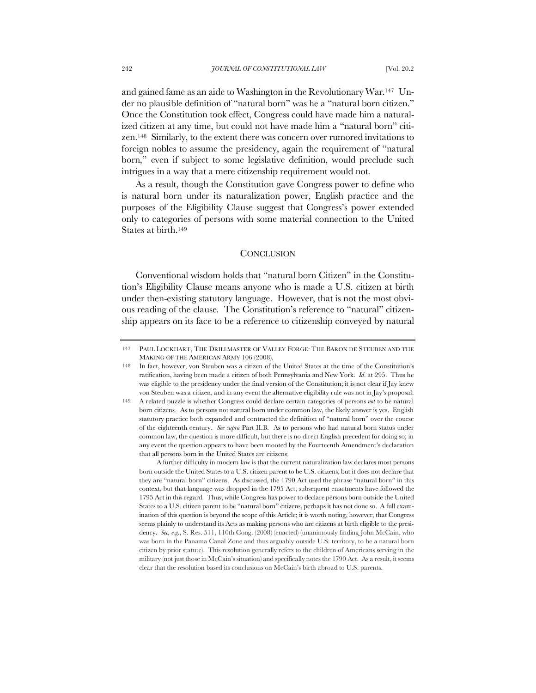and gained fame as an aide to Washington in the Revolutionary War.147 Under no plausible definition of "natural born" was he a "natural born citizen." Once the Constitution took effect, Congress could have made him a naturalized citizen at any time, but could not have made him a "natural born" citizen.148 Similarly, to the extent there was concern over rumored invitations to foreign nobles to assume the presidency, again the requirement of "natural born," even if subject to some legislative definition, would preclude such intrigues in a way that a mere citizenship requirement would not.

As a result, though the Constitution gave Congress power to define who is natural born under its naturalization power, English practice and the purposes of the Eligibility Clause suggest that Congress's power extended only to categories of persons with some material connection to the United States at birth.149

#### **CONCLUSION**

Conventional wisdom holds that "natural born Citizen" in the Constitution's Eligibility Clause means anyone who is made a U.S. citizen at birth under then-existing statutory language. However, that is not the most obvious reading of the clause. The Constitution's reference to "natural" citizenship appears on its face to be a reference to citizenship conveyed by natural

<sup>147</sup> PAUL LOCKHART, THE DRILLMASTER OF VALLEY FORGE: THE BARON DE STEUBEN AND THE MAKING OF THE AMERICAN ARMY 106 (2008).

<sup>148</sup> In fact, however, von Steuben was a citizen of the United States at the time of the Constitution's ratification, having been made a citizen of both Pennsylvania and New York. *Id*. at 295. Thus he was eligible to the presidency under the final version of the Constitution; it is not clear if Jay knew von Steuben was a citizen, and in any event the alternative eligibility rule was not in Jay's proposal.

<sup>149</sup> A related puzzle is whether Congress could declare certain categories of persons *not* to be natural born citizens. As to persons not natural born under common law, the likely answer is yes. English statutory practice both expanded and contracted the definition of "natural born" over the course of the eighteenth century. *See supra* Part II.B. As to persons who had natural born status under common law, the question is more difficult, but there is no direct English precedent for doing so; in any event the question appears to have been mooted by the Fourteenth Amendment's declaration that all persons born in the United States are citizens.

A further difficulty in modern law is that the current naturalization law declares most persons born outside the United States to a U.S. citizen parent to be U.S. citizens, but it does not declare that they are "natural born" citizens. As discussed, the 1790 Act used the phrase "natural born" in this context, but that language was dropped in the 1795 Act; subsequent enactments have followed the 1795 Act in this regard. Thus, while Congress has power to declare persons born outside the United States to a U.S. citizen parent to be "natural born" citizens, perhaps it has not done so. A full examination of this question is beyond the scope of this Article; it is worth noting, however, that Congress seems plainly to understand its Acts as making persons who are citizens at birth eligible to the presidency. *See, e.g.*, S. Res. 511, 110th Cong. (2008) (enacted) (unanimously finding John McCain, who was born in the Panama Canal Zone and thus arguably outside U.S. territory, to be a natural born citizen by prior statute). This resolution generally refers to the children of Americans serving in the military (not just those in McCain's situation) and specifically notes the 1790 Act. As a result, it seems clear that the resolution based its conclusions on McCain's birth abroad to U.S. parents.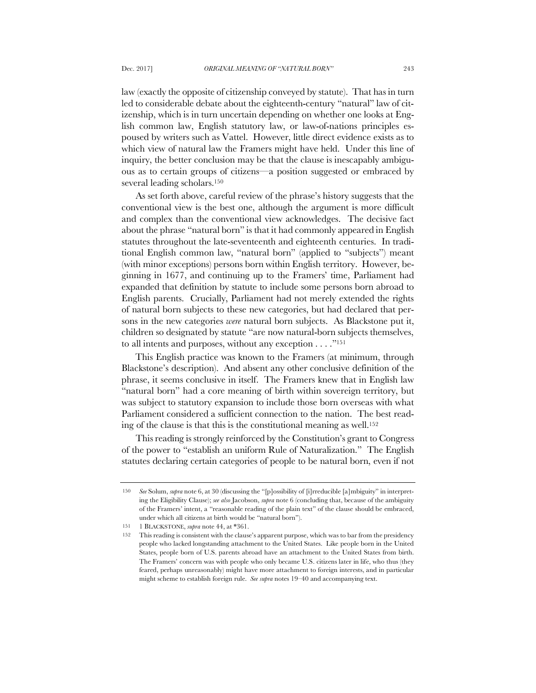law (exactly the opposite of citizenship conveyed by statute). That has in turn led to considerable debate about the eighteenth-century "natural" law of citizenship, which is in turn uncertain depending on whether one looks at English common law, English statutory law, or law-of-nations principles espoused by writers such as Vattel. However, little direct evidence exists as to which view of natural law the Framers might have held. Under this line of inquiry, the better conclusion may be that the clause is inescapably ambiguous as to certain groups of citizens—a position suggested or embraced by several leading scholars.150

As set forth above, careful review of the phrase's history suggests that the conventional view is the best one, although the argument is more difficult and complex than the conventional view acknowledges. The decisive fact about the phrase "natural born" is that it had commonly appeared in English statutes throughout the late-seventeenth and eighteenth centuries. In traditional English common law, "natural born" (applied to "subjects") meant (with minor exceptions) persons born within English territory. However, beginning in 1677, and continuing up to the Framers' time, Parliament had expanded that definition by statute to include some persons born abroad to English parents. Crucially, Parliament had not merely extended the rights of natural born subjects to these new categories, but had declared that persons in the new categories *were* natural born subjects. As Blackstone put it, children so designated by statute "are now natural-born subjects themselves, to all intents and purposes, without any exception . . . ."151

This English practice was known to the Framers (at minimum, through Blackstone's description). And absent any other conclusive definition of the phrase, it seems conclusive in itself. The Framers knew that in English law "natural born" had a core meaning of birth within sovereign territory, but was subject to statutory expansion to include those born overseas with what Parliament considered a sufficient connection to the nation. The best reading of the clause is that this is the constitutional meaning as well.152

This reading is strongly reinforced by the Constitution's grant to Congress of the power to "establish an uniform Rule of Naturalization." The English statutes declaring certain categories of people to be natural born, even if not

<sup>150</sup> *See* Solum, *supra* note 6, at 30 (discussing the "[p]ossibility of [i]rreducible [a]mbiguity" in interpreting the Eligibility Clause); *see also* Jacobson, *supra* note 6 (concluding that, because of the ambiguity of the Framers' intent, a "reasonable reading of the plain text" of the clause should be embraced, under which all citizens at birth would be "natural born").

<sup>151</sup> 1 BLACKSTONE, *supra* note 44, at \*361.

<sup>152</sup> This reading is consistent with the clause's apparent purpose, which was to bar from the presidency people who lacked longstanding attachment to the United States. Like people born in the United States, people born of U.S. parents abroad have an attachment to the United States from birth. The Framers' concern was with people who only became U.S. citizens later in life, who thus (they feared, perhaps unreasonably) might have more attachment to foreign interests, and in particular might scheme to establish foreign rule. *See supra* notes 19–40 and accompanying text.